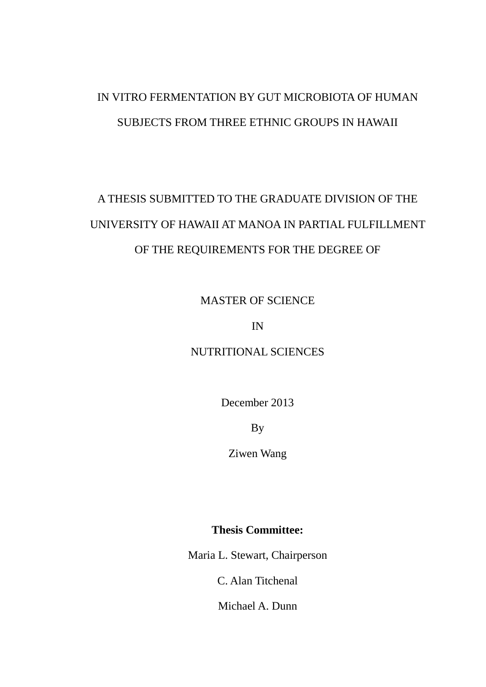# IN VITRO FERMENTATION BY GUT MICROBIOTA OF HUMAN SUBJECTS FROM THREE ETHNIC GROUPS IN HAWAII

# A THESIS SUBMITTED TO THE GRADUATE DIVISION OF THE UNIVERSITY OF HAWAII AT MANOA IN PARTIAL FULFILLMENT OF THE REQUIREMENTS FOR THE DEGREE OF

MASTER OF SCIENCE

IN

NUTRITIONAL SCIENCES

December 2013

By

Ziwen Wang

**Thesis Committee:**

Maria L. Stewart, Chairperson

C. Alan Titchenal

Michael A. Dunn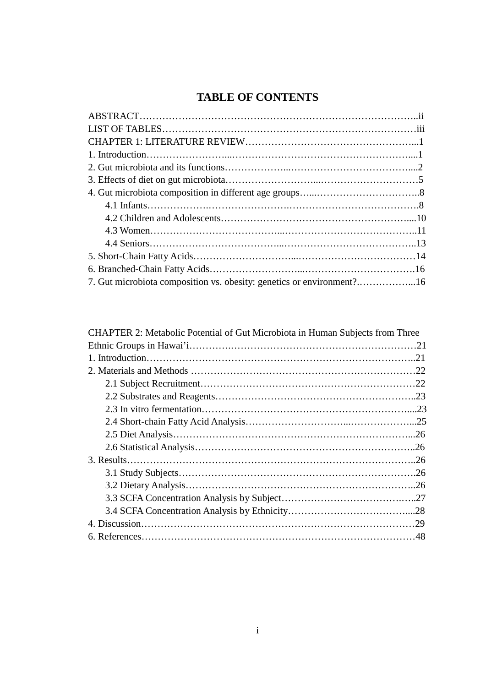## **TABLE OF CONTENTS**

| 7. Gut microbiota composition vs. obesity: genetics or environment?16 |  |
|-----------------------------------------------------------------------|--|

| CHAPTER 2: Metabolic Potential of Gut Microbiota in Human Subjects from Three |
|-------------------------------------------------------------------------------|
|                                                                               |
|                                                                               |
|                                                                               |
|                                                                               |
|                                                                               |
|                                                                               |
|                                                                               |
|                                                                               |
|                                                                               |
|                                                                               |
|                                                                               |
|                                                                               |
|                                                                               |
|                                                                               |
|                                                                               |
|                                                                               |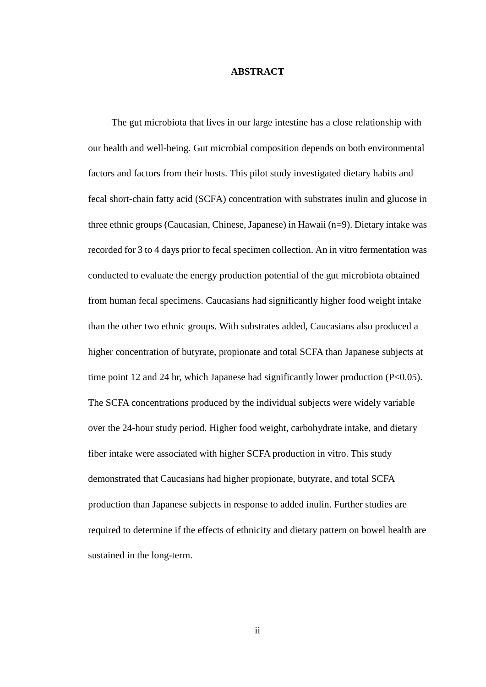## **ABSTRACT**

 The gut microbiota that lives in our large intestine has a close relationship with our health and well-being. Gut microbial composition depends on both environmental factors and factors from their hosts. This pilot study investigated dietary habits and fecal short-chain fatty acid (SCFA) concentration with substrates inulin and glucose in three ethnic groups (Caucasian, Chinese, Japanese) in Hawaii (n=9). Dietary intake was recorded for 3 to 4 days prior to fecal specimen collection. An in vitro fermentation was conducted to evaluate the energy production potential of the gut microbiota obtained from human fecal specimens. Caucasians had significantly higher food weight intake than the other two ethnic groups. With substrates added, Caucasians also produced a higher concentration of butyrate, propionate and total SCFA than Japanese subjects at time point 12 and 24 hr, which Japanese had significantly lower production (P<0.05). The SCFA concentrations produced by the individual subjects were widely variable over the 24-hour study period. Higher food weight, carbohydrate intake, and dietary fiber intake were associated with higher SCFA production in vitro. This study demonstrated that Caucasians had higher propionate, butyrate, and total SCFA production than Japanese subjects in response to added inulin. Further studies are required to determine if the effects of ethnicity and dietary pattern on bowel health are sustained in the long-term.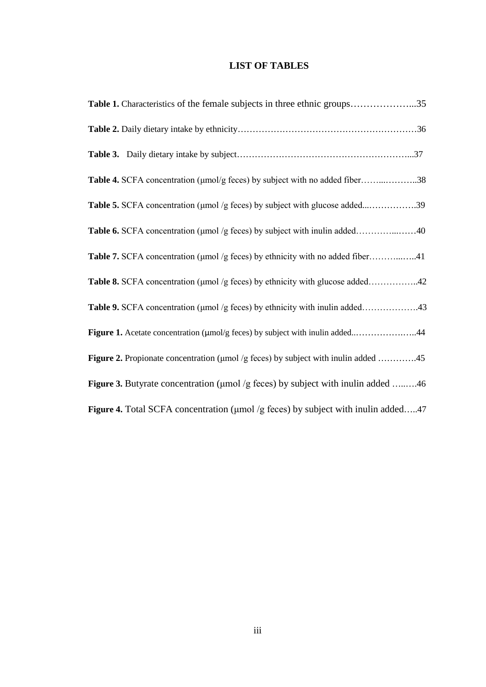## **LIST OF TABLES**

| Table 1. Characteristics of the female subjects in three ethnic groups35                 |  |
|------------------------------------------------------------------------------------------|--|
|                                                                                          |  |
|                                                                                          |  |
| Table 4. SCFA concentration (µmol/g feces) by subject with no added fiber38              |  |
| Table 5. SCFA concentration (µmol /g feces) by subject with glucose added39              |  |
| Table 6. SCFA concentration (µmol /g feces) by subject with inulin added40               |  |
| Table 7. SCFA concentration (µmol /g feces) by ethnicity with no added fiber41           |  |
| Table 8. SCFA concentration (µmol /g feces) by ethnicity with glucose added42            |  |
| Table 9. SCFA concentration (µmol /g feces) by ethnicity with inulin added43             |  |
| Figure 1. Acetate concentration (µmol/g feces) by subject with inulin added44            |  |
| Figure 2. Propionate concentration (µmol /g feces) by subject with inulin added 45       |  |
| <b>Figure 3.</b> Butyrate concentration (µmol /g feces) by subject with inulin added 46  |  |
| <b>Figure 4.</b> Total SCFA concentration (µmol /g feces) by subject with inulin added47 |  |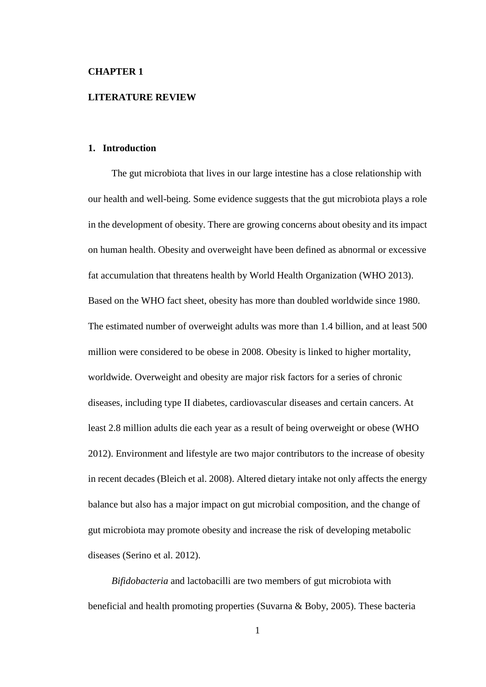## **CHAPTER 1**

## **LITERATURE REVIEW**

## **1. Introduction**

 The gut microbiota that lives in our large intestine has a close relationship with our health and well-being. Some evidence suggests that the gut microbiota plays a role in the development of obesity. There are growing concerns about obesity and its impact on human health. Obesity and overweight have been defined as abnormal or excessive fat accumulation that threatens health by World Health Organization (WHO 2013). Based on the WHO fact sheet, obesity has more than doubled worldwide since 1980. The estimated number of overweight adults was more than 1.4 billion, and at least 500 million were considered to be obese in 2008. Obesity is linked to higher mortality, worldwide. Overweight and obesity are major risk factors for a series of chronic diseases, including type II diabetes, cardiovascular diseases and certain cancers. At least 2.8 million adults die each year as a result of being overweight or obese (WHO 2012). Environment and lifestyle are two major contributors to the increase of obesity in recent decades (Bleich et al. 2008). Altered dietary intake not only affects the energy balance but also has a major impact on gut microbial composition, and the change of gut microbiota may promote obesity and increase the risk of developing metabolic diseases (Serino et al. 2012).

 *Bifidobacteria* and lactobacilli are two members of gut microbiota with beneficial and health promoting properties (Suvarna & Boby, 2005). These bacteria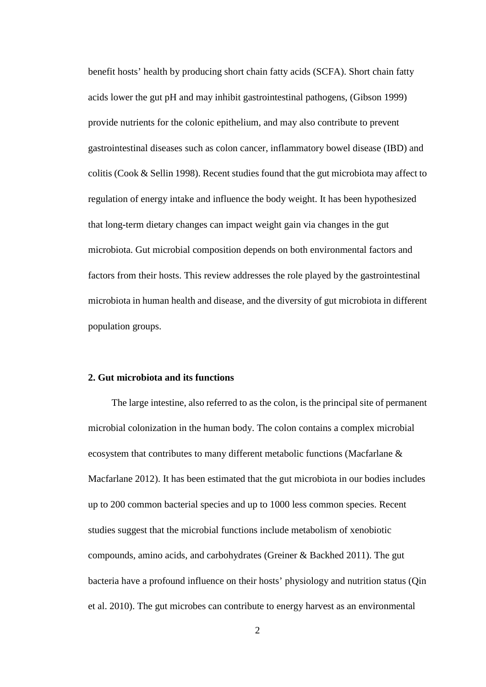benefit hosts' health by producing short chain fatty acids (SCFA). Short chain fatty acids lower the gut pH and may inhibit gastrointestinal pathogens, (Gibson 1999) provide nutrients for the colonic epithelium, and may also contribute to prevent gastrointestinal diseases such as colon cancer, inflammatory bowel disease (IBD) and colitis (Cook & Sellin 1998). Recent studies found that the gut microbiota may affect to regulation of energy intake and influence the body weight. It has been hypothesized that long-term dietary changes can impact weight gain via changes in the gut microbiota. Gut microbial composition depends on both environmental factors and factors from their hosts. This review addresses the role played by the gastrointestinal microbiota in human health and disease, and the diversity of gut microbiota in different population groups.

## **2. Gut microbiota and its functions**

 The large intestine, also referred to as the colon, is the principal site of permanent microbial colonization in the human body. The colon contains a complex microbial ecosystem that contributes to many different metabolic functions (Macfarlane & Macfarlane 2012). It has been estimated that the gut microbiota in our bodies includes up to 200 common bacterial species and up to 1000 less common species. Recent studies suggest that the microbial functions include metabolism of xenobiotic compounds, amino acids, and carbohydrates (Greiner & Backhed 2011). The gut bacteria have a profound influence on their hosts' physiology and nutrition status (Qin et al. 2010). The gut microbes can contribute to energy harvest as an environmental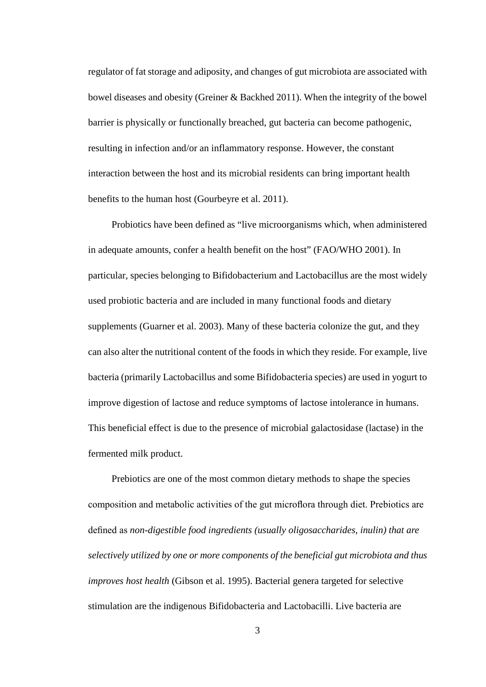regulator of fat storage and adiposity, and changes of gut microbiota are associated with bowel diseases and obesity (Greiner & Backhed 2011). When the integrity of the bowel barrier is physically or functionally breached, gut bacteria can become pathogenic, resulting in infection and/or an inflammatory response. However, the constant interaction between the host and its microbial residents can bring important health benefits to the human host (Gourbeyre et al. 2011).

 Probiotics have been defined as "live microorganisms which, when administered in adequate amounts, confer a health benefit on the host" (FAO/WHO 2001). In particular, species belonging to Bifidobacterium and Lactobacillus are the most widely used probiotic bacteria and are included in many functional foods and dietary supplements (Guarner et al. 2003). Many of these bacteria colonize the gut, and they can also alter the nutritional content of the foods in which they reside. For example, live bacteria (primarily Lactobacillus and some Bifidobacteria species) are used in yogurt to improve digestion of lactose and reduce symptoms of lactose intolerance in humans. This beneficial effect is due to the presence of microbial galactosidase (lactase) in the fermented milk product.

 Prebiotics are one of the most common dietary methods to shape the species composition and metabolic activities of the gut microflora through diet. Prebiotics are defined as *non-digestible food ingredients (usually oligosaccharides, inulin) that are selectively utilized by one or more components of the beneficial gut microbiota and thus improves host health* (Gibson et al. 1995). Bacterial genera targeted for selective stimulation are the indigenous Bifidobacteria and Lactobacilli. Live bacteria are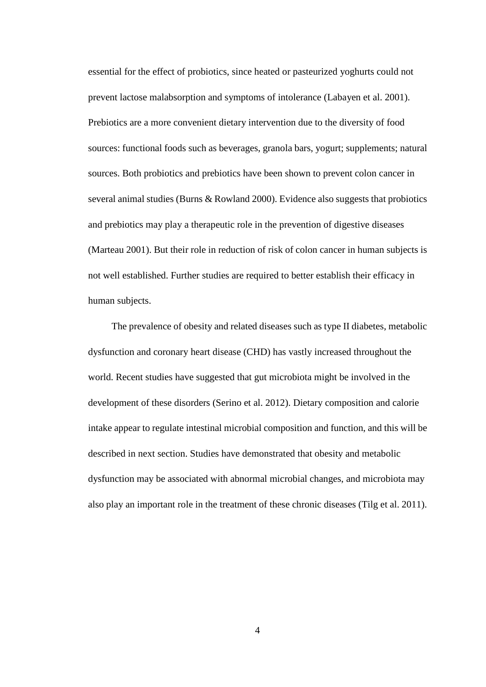essential for the effect of probiotics, since heated or pasteurized yoghurts could not prevent lactose malabsorption and symptoms of intolerance (Labayen et al. 2001). Prebiotics are a more convenient dietary intervention due to the diversity of food sources: functional foods such as beverages, granola bars, yogurt; supplements; natural sources. Both probiotics and prebiotics have been shown to prevent colon cancer in several animal studies (Burns & Rowland 2000). Evidence also suggests that probiotics and prebiotics may play a therapeutic role in the prevention of digestive diseases (Marteau 2001). But their role in reduction of risk of colon cancer in human subjects is not well established. Further studies are required to better establish their efficacy in human subjects.

 The prevalence of obesity and related diseases such as type II diabetes, metabolic dysfunction and coronary heart disease (CHD) has vastly increased throughout the world. Recent studies have suggested that gut microbiota might be involved in the development of these disorders (Serino et al. 2012). Dietary composition and calorie intake appear to regulate intestinal microbial composition and function, and this will be described in next section. Studies have demonstrated that obesity and metabolic dysfunction may be associated with abnormal microbial changes, and microbiota may also play an important role in the treatment of these chronic diseases (Tilg et al. 2011).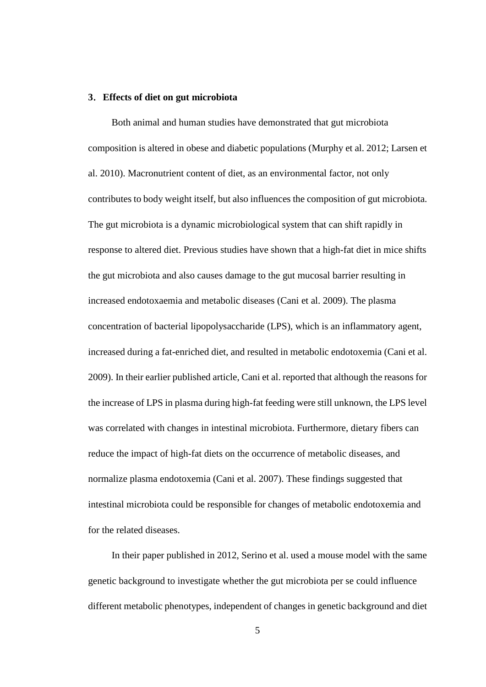## **3**.**Effects of diet on gut microbiota**

 Both animal and human studies have demonstrated that gut microbiota composition is altered in obese and diabetic populations (Murphy et al. 2012; Larsen et al. 2010). Macronutrient content of diet, as an environmental factor, not only contributes to body weight itself, but also influences the composition of gut microbiota. The gut microbiota is a dynamic microbiological system that can shift rapidly in response to altered diet. Previous studies have shown that a high-fat diet in mice shifts the gut microbiota and also causes damage to the gut mucosal barrier resulting in increased endotoxaemia and metabolic diseases (Cani et al. 2009). The plasma concentration of bacterial lipopolysaccharide (LPS), which is an inflammatory agent, increased during a fat-enriched diet, and resulted in metabolic endotoxemia (Cani et al. 2009). In their earlier published article, Cani et al. reported that although the reasons for the increase of LPS in plasma during high-fat feeding were still unknown, the LPS level was correlated with changes in intestinal microbiota. Furthermore, dietary fibers can reduce the impact of high-fat diets on the occurrence of metabolic diseases, and normalize plasma endotoxemia (Cani et al. 2007). These findings suggested that intestinal microbiota could be responsible for changes of metabolic endotoxemia and for the related diseases.

 In their paper published in 2012, Serino et al. used a mouse model with the same genetic background to investigate whether the gut microbiota per se could influence different metabolic phenotypes, independent of changes in genetic background and diet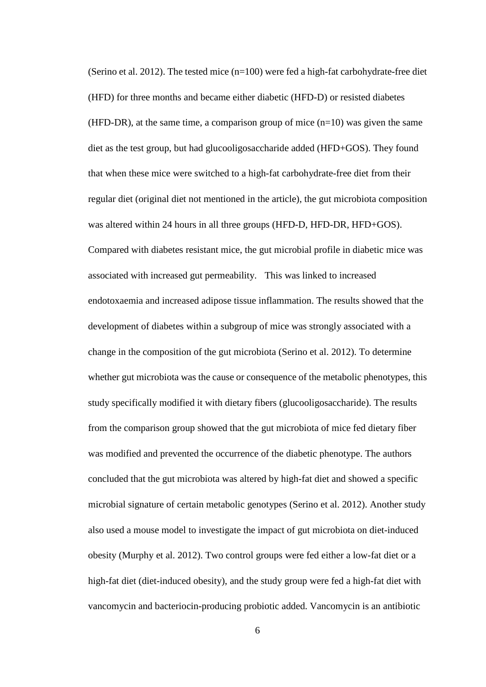(Serino et al. 2012). The tested mice  $(n=100)$  were fed a high-fat carbohydrate-free diet (HFD) for three months and became either diabetic (HFD-D) or resisted diabetes (HFD-DR), at the same time, a comparison group of mice  $(n=10)$  was given the same diet as the test group, but had glucooligosaccharide added (HFD+GOS). They found that when these mice were switched to a high-fat carbohydrate-free diet from their regular diet (original diet not mentioned in the article), the gut microbiota composition was altered within 24 hours in all three groups (HFD-D, HFD-DR, HFD+GOS). Compared with diabetes resistant mice, the gut microbial profile in diabetic mice was associated with increased gut permeability. This was linked to increased endotoxaemia and increased adipose tissue inflammation. The results showed that the development of diabetes within a subgroup of mice was strongly associated with a change in the composition of the gut microbiota (Serino et al. 2012). To determine whether gut microbiota was the cause or consequence of the metabolic phenotypes, this study specifically modified it with dietary fibers (glucooligosaccharide). The results from the comparison group showed that the gut microbiota of mice fed dietary fiber was modified and prevented the occurrence of the diabetic phenotype. The authors concluded that the gut microbiota was altered by high-fat diet and showed a specific microbial signature of certain metabolic genotypes (Serino et al. 2012). Another study also used a mouse model to investigate the impact of gut microbiota on diet-induced obesity (Murphy et al. 2012). Two control groups were fed either a low-fat diet or a high-fat diet (diet-induced obesity), and the study group were fed a high-fat diet with vancomycin and bacteriocin-producing probiotic added. Vancomycin is an antibiotic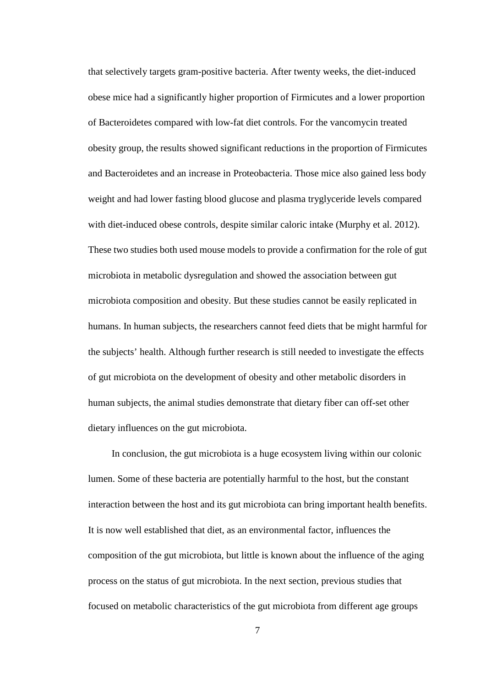that selectively targets gram-positive bacteria. After twenty weeks, the diet-induced obese mice had a significantly higher proportion of Firmicutes and a lower proportion of Bacteroidetes compared with low-fat diet controls. For the vancomycin treated obesity group, the results showed significant reductions in the proportion of Firmicutes and Bacteroidetes and an increase in Proteobacteria. Those mice also gained less body weight and had lower fasting blood glucose and plasma tryglyceride levels compared with diet-induced obese controls, despite similar caloric intake (Murphy et al. 2012). These two studies both used mouse models to provide a confirmation for the role of gut microbiota in metabolic dysregulation and showed the association between gut microbiota composition and obesity. But these studies cannot be easily replicated in humans. In human subjects, the researchers cannot feed diets that be might harmful for the subjects' health. Although further research is still needed to investigate the effects of gut microbiota on the development of obesity and other metabolic disorders in human subjects, the animal studies demonstrate that dietary fiber can off-set other dietary influences on the gut microbiota.

 In conclusion, the gut microbiota is a huge ecosystem living within our colonic lumen. Some of these bacteria are potentially harmful to the host, but the constant interaction between the host and its gut microbiota can bring important health benefits. It is now well established that diet, as an environmental factor, influences the composition of the gut microbiota, but little is known about the influence of the aging process on the status of gut microbiota. In the next section, previous studies that focused on metabolic characteristics of the gut microbiota from different age groups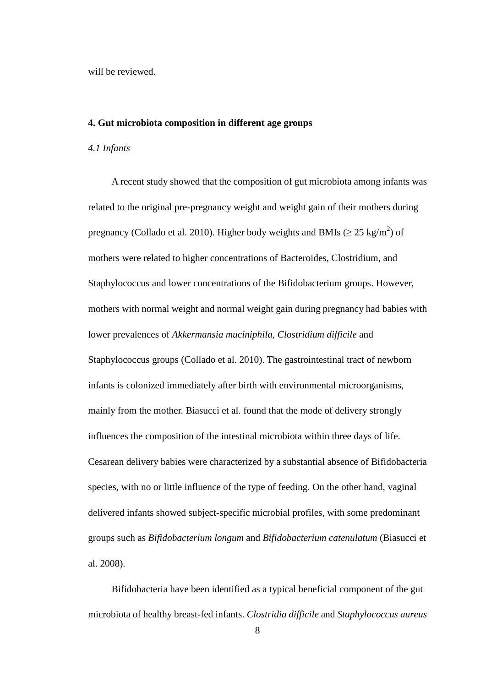will be reviewed.

#### **4. Gut microbiota composition in different age groups**

## *4.1 Infants*

 A recent study showed that the composition of gut microbiota among infants was related to the original pre-pregnancy weight and weight gain of their mothers during pregnancy (Collado et al. 2010). Higher body weights and BMIs ( $\geq 25 \text{ kg/m}^2$ ) of mothers were related to higher concentrations of Bacteroides, Clostridium, and Staphylococcus and lower concentrations of the Bifidobacterium groups. However, mothers with normal weight and normal weight gain during pregnancy had babies with lower prevalences of *Akkermansia muciniphila*, *Clostridium difficile* and Staphylococcus groups (Collado et al. 2010). The gastrointestinal tract of newborn infants is colonized immediately after birth with environmental microorganisms, mainly from the mother. Biasucci et al. found that the mode of delivery strongly influences the composition of the intestinal microbiota within three days of life. Cesarean delivery babies were characterized by a substantial absence of Bifidobacteria species, with no or little influence of the type of feeding. On the other hand, vaginal delivered infants showed subject-specific microbial profiles, with some predominant groups such as *Bifidobacterium longum* and *Bifidobacterium catenulatum* (Biasucci et al. 2008).

 Bifidobacteria have been identified as a typical beneficial component of the gut microbiota of healthy breast-fed infants. *Clostridia difficile* and *Staphylococcus aureus*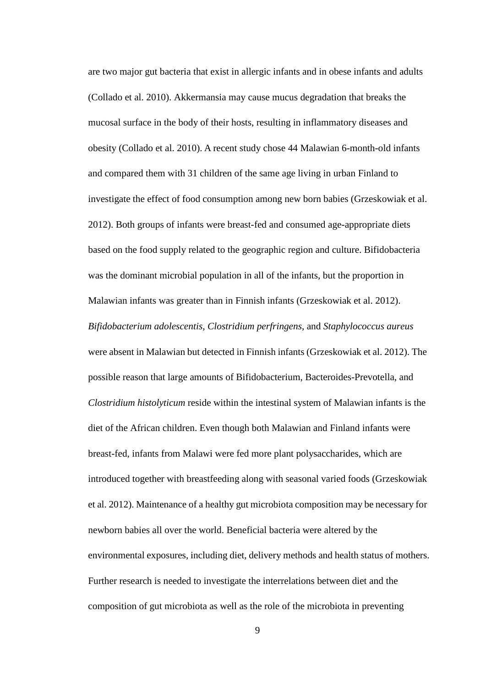are two major gut bacteria that exist in allergic infants and in obese infants and adults (Collado et al. 2010). Akkermansia may cause mucus degradation that breaks the mucosal surface in the body of their hosts, resulting in inflammatory diseases and obesity (Collado et al. 2010). A recent study chose 44 Malawian 6-month-old infants and compared them with 31 children of the same age living in urban Finland to investigate the effect of food consumption among new born babies (Grzeskowiak et al. 2012). Both groups of infants were breast-fed and consumed age-appropriate diets based on the food supply related to the geographic region and culture. Bifidobacteria was the dominant microbial population in all of the infants, but the proportion in Malawian infants was greater than in Finnish infants (Grzeskowiak et al. 2012). *Bifidobacterium adolescentis*, *Clostridium perfringens*, and *Staphylococcus aureus* were absent in Malawian but detected in Finnish infants (Grzeskowiak et al. 2012). The possible reason that large amounts of Bifidobacterium, Bacteroides-Prevotella, and *Clostridium histolyticum* reside within the intestinal system of Malawian infants is the diet of the African children. Even though both Malawian and Finland infants were breast-fed, infants from Malawi were fed more plant polysaccharides, which are introduced together with breastfeeding along with seasonal varied foods (Grzeskowiak et al. 2012). Maintenance of a healthy gut microbiota composition may be necessary for newborn babies all over the world. Beneficial bacteria were altered by the environmental exposures, including diet, delivery methods and health status of mothers. Further research is needed to investigate the interrelations between diet and the composition of gut microbiota as well as the role of the microbiota in preventing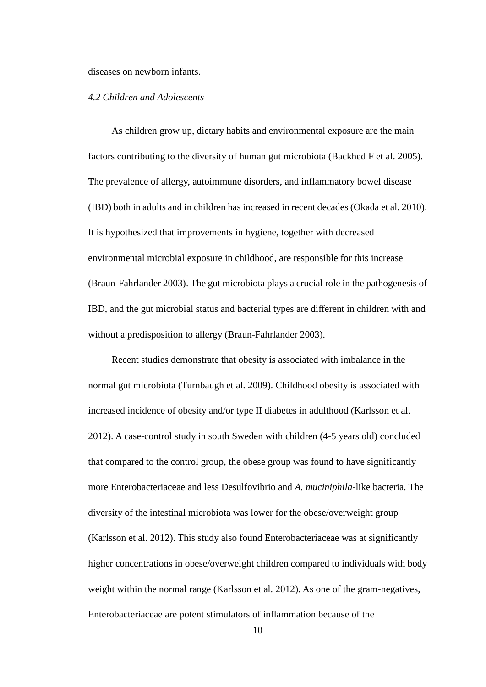diseases on newborn infants.

## *4.2 Children and Adolescents*

 As children grow up, dietary habits and environmental exposure are the main factors contributing to the diversity of human gut microbiota (Backhed F et al. 2005). The prevalence of allergy, autoimmune disorders, and inflammatory bowel disease (IBD) both in adults and in children has increased in recent decades (Okada et al. 2010). It is hypothesized that improvements in hygiene, together with decreased environmental microbial exposure in childhood, are responsible for this increase (Braun-Fahrlander 2003). The gut microbiota plays a crucial role in the pathogenesis of IBD, and the gut microbial status and bacterial types are different in children with and without a predisposition to allergy (Braun-Fahrlander 2003).

 Recent studies demonstrate that obesity is associated with imbalance in the normal gut microbiota (Turnbaugh et al. 2009). Childhood obesity is associated with increased incidence of obesity and/or type II diabetes in adulthood (Karlsson et al. 2012). A case-control study in south Sweden with children (4-5 years old) concluded that compared to the control group, the obese group was found to have significantly more Enterobacteriaceae and less Desulfovibrio and *A. muciniphila*-like bacteria. The diversity of the intestinal microbiota was lower for the obese/overweight group (Karlsson et al. 2012). This study also found Enterobacteriaceae was at significantly higher concentrations in obese/overweight children compared to individuals with body weight within the normal range (Karlsson et al. 2012). As one of the gram-negatives, Enterobacteriaceae are potent stimulators of inflammation because of the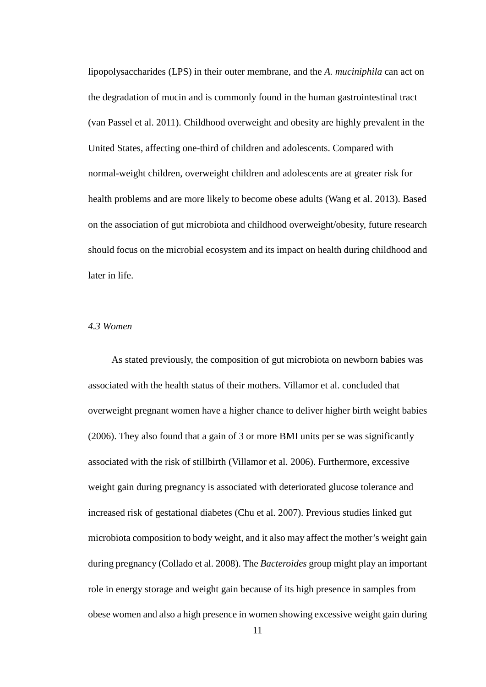lipopolysaccharides (LPS) in their outer membrane, and the *A. muciniphila* can act on the degradation of mucin and is commonly found in the human gastrointestinal tract (van Passel et al. 2011). Childhood overweight and obesity are highly prevalent in the United States, affecting one-third of children and adolescents. Compared with normal-weight children, overweight children and adolescents are at greater risk for health problems and are more likely to become obese adults (Wang et al. 2013). Based on the association of gut microbiota and childhood overweight/obesity, future research should focus on the microbial ecosystem and its impact on health during childhood and later in life.

## *4.3 Women*

 As stated previously, the composition of gut microbiota on newborn babies was associated with the health status of their mothers. Villamor et al. concluded that overweight pregnant women have a higher chance to deliver higher birth weight babies (2006). They also found that a gain of 3 or more BMI units per se was significantly associated with the risk of stillbirth (Villamor et al. 2006). Furthermore, excessive weight gain during pregnancy is associated with deteriorated glucose tolerance and increased risk of gestational diabetes (Chu et al. 2007). Previous studies linked gut microbiota composition to body weight, and it also may affect the mother's weight gain during pregnancy (Collado et al. 2008). The *Bacteroides* group might play an important role in energy storage and weight gain because of its high presence in samples from obese women and also a high presence in women showing excessive weight gain during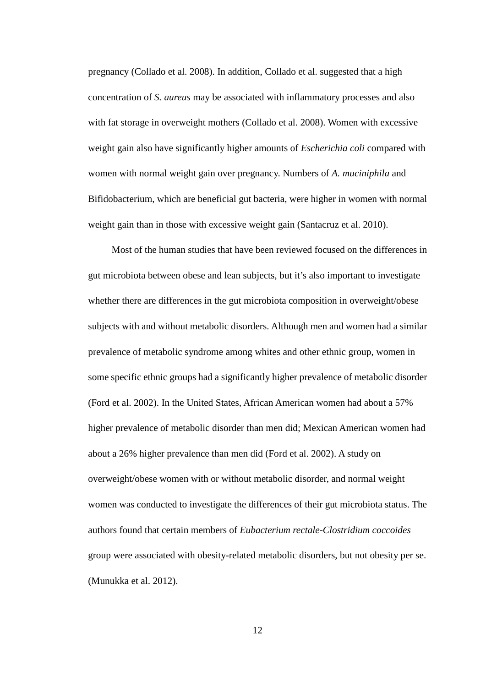pregnancy (Collado et al. 2008). In addition, Collado et al. suggested that a high concentration of *S. aureus* may be associated with inflammatory processes and also with fat storage in overweight mothers (Collado et al. 2008). Women with excessive weight gain also have significantly higher amounts of *Escherichia coli* compared with women with normal weight gain over pregnancy. Numbers of *A. muciniphila* and Bifidobacterium, which are beneficial gut bacteria, were higher in women with normal weight gain than in those with excessive weight gain (Santacruz et al. 2010).

 Most of the human studies that have been reviewed focused on the differences in gut microbiota between obese and lean subjects, but it's also important to investigate whether there are differences in the gut microbiota composition in overweight/obese subjects with and without metabolic disorders. Although men and women had a similar prevalence of metabolic syndrome among whites and other ethnic group, women in some specific ethnic groups had a significantly higher prevalence of metabolic disorder (Ford et al. 2002). In the United States, African American women had about a 57% higher prevalence of metabolic disorder than men did; Mexican American women had about a 26% higher prevalence than men did (Ford et al. 2002). A study on overweight/obese women with or without metabolic disorder, and normal weight women was conducted to investigate the differences of their gut microbiota status. The authors found that certain members of *Eubacterium rectale-Clostridium coccoides* group were associated with obesity-related metabolic disorders, but not obesity per se. (Munukka et al. 2012).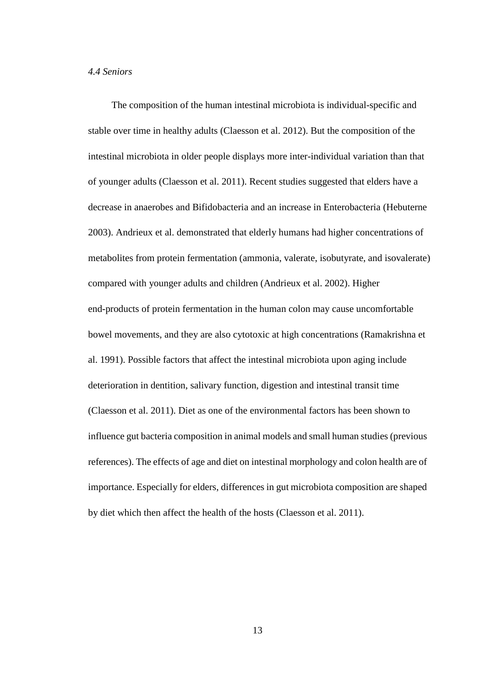### *4.4 Seniors*

 The composition of the human intestinal microbiota is individual-specific and stable over time in healthy adults (Claesson et al. 2012). But the composition of the intestinal microbiota in older people displays more inter-individual variation than that of younger adults (Claesson et al. 2011). Recent studies suggested that elders have a decrease in anaerobes and Bifidobacteria and an increase in Enterobacteria (Hebuterne 2003). Andrieux et al. demonstrated that elderly humans had higher concentrations of metabolites from protein fermentation (ammonia, valerate, isobutyrate, and isovalerate) compared with younger adults and children (Andrieux et al. 2002). Higher end-products of protein fermentation in the human colon may cause uncomfortable bowel movements, and they are also cytotoxic at high concentrations (Ramakrishna et al. 1991). Possible factors that affect the intestinal microbiota upon aging include deterioration in dentition, salivary function, digestion and intestinal transit time (Claesson et al. 2011). Diet as one of the environmental factors has been shown to influence gut bacteria composition in animal models and small human studies (previous references). The effects of age and diet on intestinal morphology and colon health are of importance. Especially for elders, differences in gut microbiota composition are shaped by diet which then affect the health of the hosts (Claesson et al. 2011).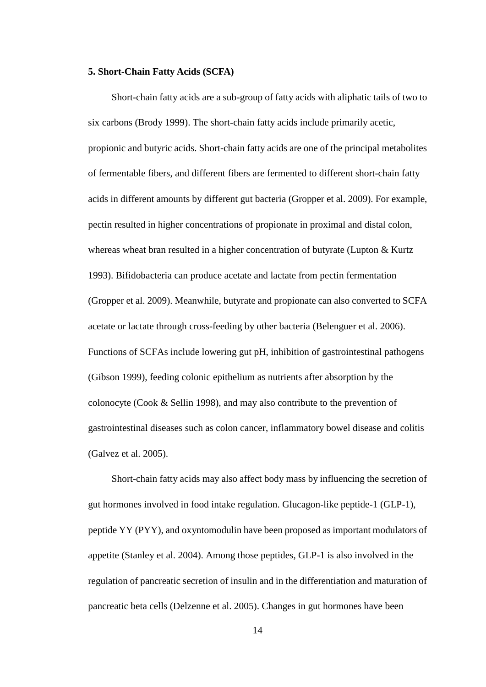## **5. Short-Chain Fatty Acids (SCFA)**

 Short-chain fatty acids are a sub-group of fatty acids with aliphatic tails of two to six carbons (Brody 1999). The short-chain fatty acids include primarily acetic, propionic and butyric acids. Short-chain fatty acids are one of the principal metabolites of fermentable fibers, and different fibers are fermented to different short-chain fatty acids in different amounts by different gut bacteria (Gropper et al. 2009). For example, pectin resulted in higher concentrations of propionate in proximal and distal colon, whereas wheat bran resulted in a higher concentration of butyrate (Lupton & Kurtz 1993). Bifidobacteria can produce acetate and lactate from pectin fermentation (Gropper et al. 2009). Meanwhile, butyrate and propionate can also converted to SCFA acetate or lactate through cross-feeding by other bacteria (Belenguer et al. 2006). Functions of SCFAs include lowering gut pH, inhibition of gastrointestinal pathogens (Gibson 1999), feeding colonic epithelium as nutrients after absorption by the colonocyte (Cook & Sellin 1998), and may also contribute to the prevention of gastrointestinal diseases such as colon cancer, inflammatory bowel disease and colitis (Galvez et al. 2005).

 Short-chain fatty acids may also affect body mass by influencing the secretion of gut hormones involved in food intake regulation. Glucagon-like peptide-1 (GLP-1), peptide YY (PYY), and oxyntomodulin have been proposed as important modulators of appetite (Stanley et al. 2004). Among those peptides, GLP-1 is also involved in the regulation of pancreatic secretion of insulin and in the differentiation and maturation of pancreatic beta cells (Delzenne et al. 2005). Changes in gut hormones have been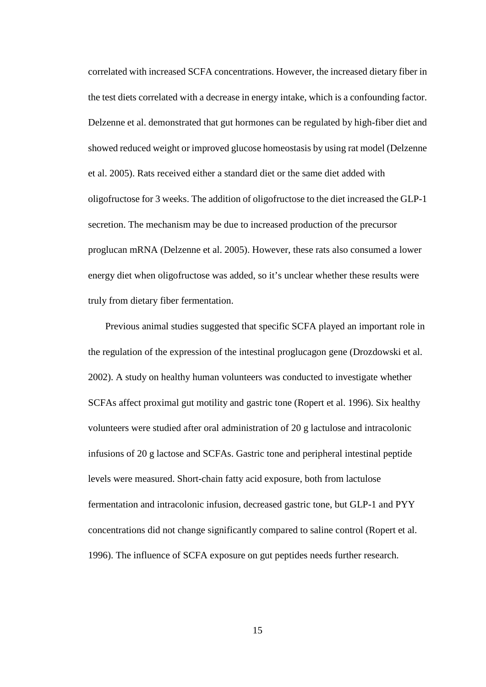correlated with increased SCFA concentrations. However, the increased dietary fiber in the test diets correlated with a decrease in energy intake, which is a confounding factor. Delzenne et al. demonstrated that gut hormones can be regulated by high-fiber diet and showed reduced weight or improved glucose homeostasis by using rat model (Delzenne et al. 2005). Rats received either a standard diet or the same diet added with oligofructose for 3 weeks. The addition of oligofructose to the diet increased the GLP-1 secretion. The mechanism may be due to increased production of the precursor proglucan mRNA (Delzenne et al. 2005). However, these rats also consumed a lower energy diet when oligofructose was added, so it's unclear whether these results were truly from dietary fiber fermentation.

Previous animal studies suggested that specific SCFA played an important role in the regulation of the expression of the intestinal proglucagon gene (Drozdowski et al. 2002). A study on healthy human volunteers was conducted to investigate whether SCFAs affect proximal gut motility and gastric tone (Ropert et al. 1996). Six healthy volunteers were studied after oral administration of 20 g lactulose and intracolonic infusions of 20 g lactose and SCFAs. Gastric tone and peripheral intestinal peptide levels were measured. Short-chain fatty acid exposure, both from lactulose fermentation and intracolonic infusion, decreased gastric tone, but GLP-1 and PYY concentrations did not change significantly compared to saline control (Ropert et al. 1996). The influence of SCFA exposure on gut peptides needs further research.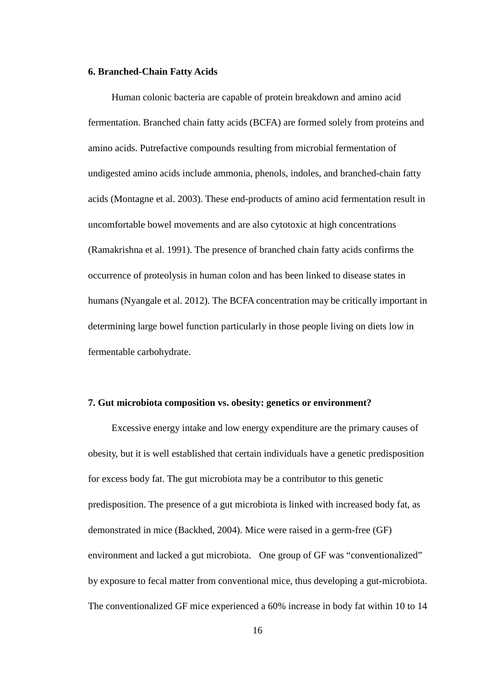## **6. Branched-Chain Fatty Acids**

 Human colonic bacteria are capable of protein breakdown and amino acid fermentation. Branched chain fatty acids (BCFA) are formed solely from proteins and amino acids. Putrefactive compounds resulting from microbial fermentation of undigested amino acids include ammonia, phenols, indoles, and branched-chain fatty acids (Montagne et al. 2003). These end-products of amino acid fermentation result in uncomfortable bowel movements and are also cytotoxic at high concentrations (Ramakrishna et al. 1991). The presence of branched chain fatty acids confirms the occurrence of proteolysis in human colon and has been linked to disease states in humans (Nyangale et al. 2012). The BCFA concentration may be critically important in determining large bowel function particularly in those people living on diets low in fermentable carbohydrate.

## **7. Gut microbiota composition vs. obesity: genetics or environment?**

 Excessive energy intake and low energy expenditure are the primary causes of obesity, but it is well established that certain individuals have a genetic predisposition for excess body fat. The gut microbiota may be a contributor to this genetic predisposition. The presence of a gut microbiota is linked with increased body fat, as demonstrated in mice (Backhed, 2004). Mice were raised in a germ-free (GF) environment and lacked a gut microbiota. One group of GF was "conventionalized" by exposure to fecal matter from conventional mice, thus developing a gut-microbiota. The conventionalized GF mice experienced a 60% increase in body fat within 10 to 14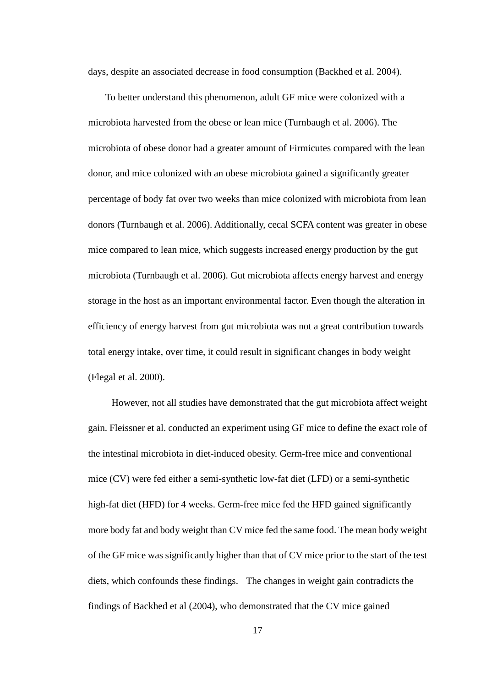days, despite an associated decrease in food consumption (Backhed et al. 2004).

To better understand this phenomenon, adult GF mice were colonized with a microbiota harvested from the obese or lean mice (Turnbaugh et al. 2006). The microbiota of obese donor had a greater amount of Firmicutes compared with the lean donor, and mice colonized with an obese microbiota gained a significantly greater percentage of body fat over two weeks than mice colonized with microbiota from lean donors (Turnbaugh et al. 2006). Additionally, cecal SCFA content was greater in obese mice compared to lean mice, which suggests increased energy production by the gut microbiota (Turnbaugh et al. 2006). Gut microbiota affects energy harvest and energy storage in the host as an important environmental factor. Even though the alteration in efficiency of energy harvest from gut microbiota was not a great contribution towards total energy intake, over time, it could result in significant changes in body weight (Flegal et al. 2000).

 However, not all studies have demonstrated that the gut microbiota affect weight gain. Fleissner et al. conducted an experiment using GF mice to define the exact role of the intestinal microbiota in diet-induced obesity. Germ-free mice and conventional mice (CV) were fed either a semi-synthetic low-fat diet (LFD) or a semi-synthetic high-fat diet (HFD) for 4 weeks. Germ-free mice fed the HFD gained significantly more body fat and body weight than CV mice fed the same food. The mean body weight of the GF mice was significantly higher than that of CV mice prior to the start of the test diets, which confounds these findings. The changes in weight gain contradicts the findings of Backhed et al (2004), who demonstrated that the CV mice gained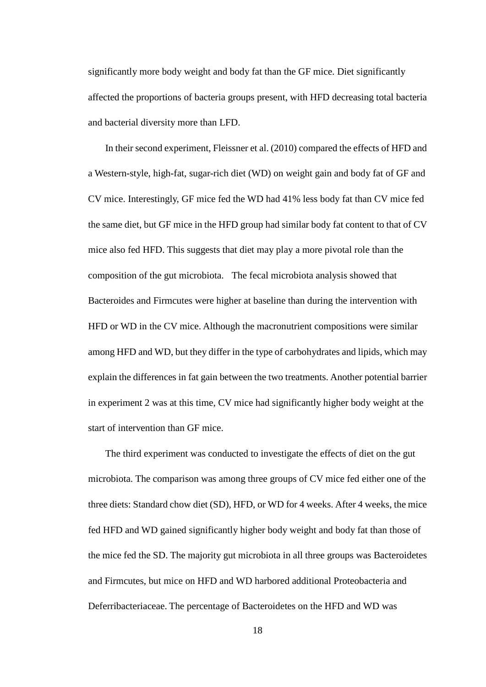significantly more body weight and body fat than the GF mice. Diet significantly affected the proportions of bacteria groups present, with HFD decreasing total bacteria and bacterial diversity more than LFD.

In their second experiment, Fleissner et al. (2010) compared the effects of HFD and a Western-style, high-fat, sugar-rich diet (WD) on weight gain and body fat of GF and CV mice. Interestingly, GF mice fed the WD had 41% less body fat than CV mice fed the same diet, but GF mice in the HFD group had similar body fat content to that of CV mice also fed HFD. This suggests that diet may play a more pivotal role than the composition of the gut microbiota. The fecal microbiota analysis showed that Bacteroides and Firmcutes were higher at baseline than during the intervention with HFD or WD in the CV mice. Although the macronutrient compositions were similar among HFD and WD, but they differ in the type of carbohydrates and lipids, which may explain the differences in fat gain between the two treatments. Another potential barrier in experiment 2 was at this time, CV mice had significantly higher body weight at the start of intervention than GF mice.

The third experiment was conducted to investigate the effects of diet on the gut microbiota. The comparison was among three groups of CV mice fed either one of the three diets: Standard chow diet (SD), HFD, or WD for 4 weeks. After 4 weeks, the mice fed HFD and WD gained significantly higher body weight and body fat than those of the mice fed the SD. The majority gut microbiota in all three groups was Bacteroidetes and Firmcutes, but mice on HFD and WD harbored additional Proteobacteria and Deferribacteriaceae. The percentage of Bacteroidetes on the HFD and WD was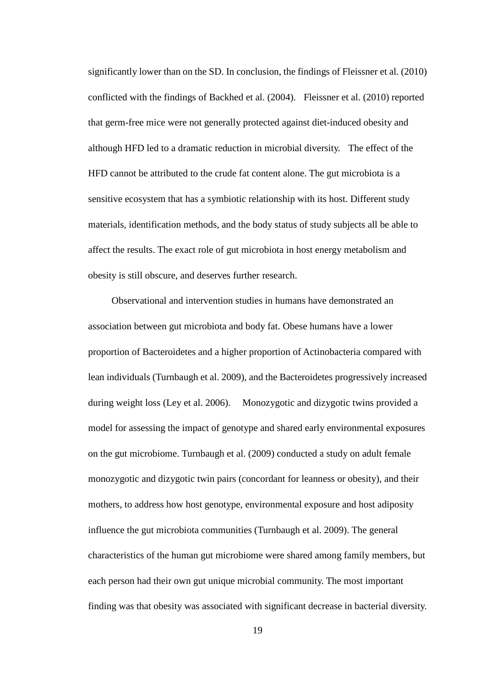significantly lower than on the SD. In conclusion, the findings of Fleissner et al. (2010) conflicted with the findings of Backhed et al. (2004). Fleissner et al. (2010) reported that germ-free mice were not generally protected against diet-induced obesity and although HFD led to a dramatic reduction in microbial diversity. The effect of the HFD cannot be attributed to the crude fat content alone. The gut microbiota is a sensitive ecosystem that has a symbiotic relationship with its host. Different study materials, identification methods, and the body status of study subjects all be able to affect the results. The exact role of gut microbiota in host energy metabolism and obesity is still obscure, and deserves further research.

 Observational and intervention studies in humans have demonstrated an association between gut microbiota and body fat. Obese humans have a lower proportion of Bacteroidetes and a higher proportion of Actinobacteria compared with lean individuals (Turnbaugh et al. 2009), and the Bacteroidetes progressively increased during weight loss (Ley et al. 2006). Monozygotic and dizygotic twins provided a model for assessing the impact of genotype and shared early environmental exposures on the gut microbiome. Turnbaugh et al. (2009) conducted a study on adult female monozygotic and dizygotic twin pairs (concordant for leanness or obesity), and their mothers, to address how host genotype, environmental exposure and host adiposity influence the gut microbiota communities (Turnbaugh et al. 2009). The general characteristics of the human gut microbiome were shared among family members, but each person had their own gut unique microbial community. The most important finding was that obesity was associated with significant decrease in bacterial diversity.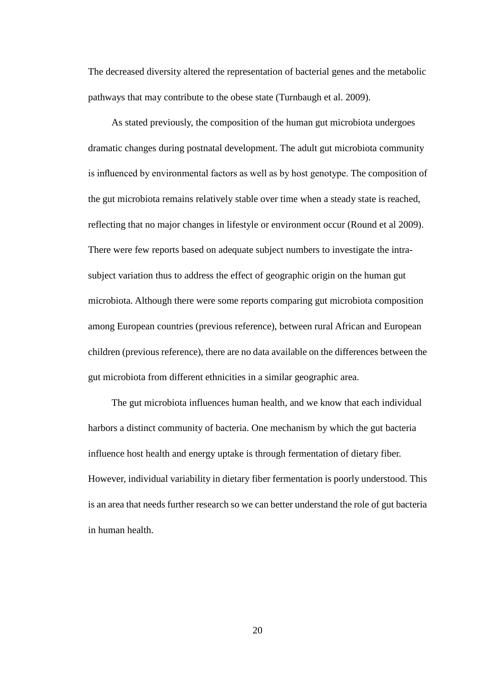The decreased diversity altered the representation of bacterial genes and the metabolic pathways that may contribute to the obese state (Turnbaugh et al. 2009).

 As stated previously, the composition of the human gut microbiota undergoes dramatic changes during postnatal development. The adult gut microbiota community is influenced by environmental factors as well as by host genotype. The composition of the gut microbiota remains relatively stable over time when a steady state is reached, reflecting that no major changes in lifestyle or environment occur (Round et al 2009). There were few reports based on adequate subject numbers to investigate the intrasubject variation thus to address the effect of geographic origin on the human gut microbiota. Although there were some reports comparing gut microbiota composition among European countries (previous reference), between rural African and European children (previous reference), there are no data available on the differences between the gut microbiota from different ethnicities in a similar geographic area.

 The gut microbiota influences human health, and we know that each individual harbors a distinct community of bacteria. One mechanism by which the gut bacteria influence host health and energy uptake is through fermentation of dietary fiber. However, individual variability in dietary fiber fermentation is poorly understood. This is an area that needs further research so we can better understand the role of gut bacteria in human health.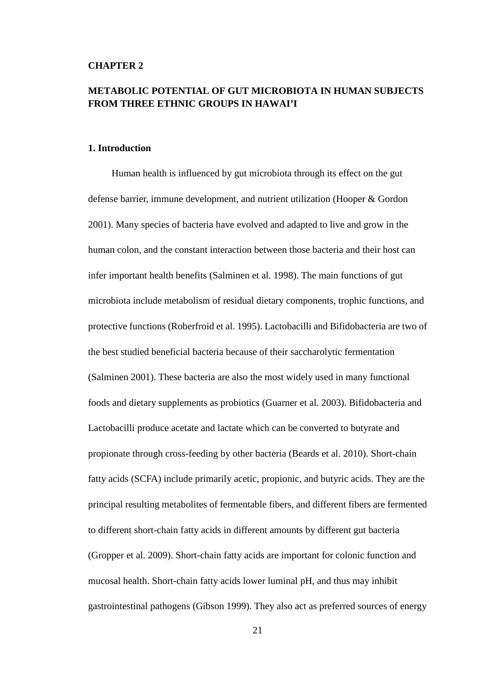## **CHAPTER 2**

## **METABOLIC POTENTIAL OF GUT MICROBIOTA IN HUMAN SUBJECTS FROM THREE ETHNIC GROUPS IN HAWAI'I**

## **1. Introduction**

 Human health is influenced by gut microbiota through its effect on the gut defense barrier, immune development, and nutrient utilization (Hooper & Gordon 2001). Many species of bacteria have evolved and adapted to live and grow in the human colon, and the constant interaction between those bacteria and their host can infer important health benefits (Salminen et al. 1998). The main functions of gut microbiota include metabolism of residual dietary components, trophic functions, and protective functions (Roberfroid et al. 1995). Lactobacilli and Bifidobacteria are two of the best studied beneficial bacteria because of their saccharolytic fermentation (Salminen 2001). These bacteria are also the most widely used in many functional foods and dietary supplements as probiotics (Guarner et al. 2003). Bifidobacteria and Lactobacilli produce acetate and lactate which can be converted to butyrate and propionate through cross-feeding by other bacteria (Beards et al. 2010). Short-chain fatty acids (SCFA) include primarily acetic, propionic, and butyric acids. They are the principal resulting metabolites of fermentable fibers, and different fibers are fermented to different short-chain fatty acids in different amounts by different gut bacteria (Gropper et al. 2009). Short-chain fatty acids are important for colonic function and mucosal health. Short-chain fatty acids lower luminal pH, and thus may inhibit gastrointestinal pathogens (Gibson 1999). They also act as preferred sources of energy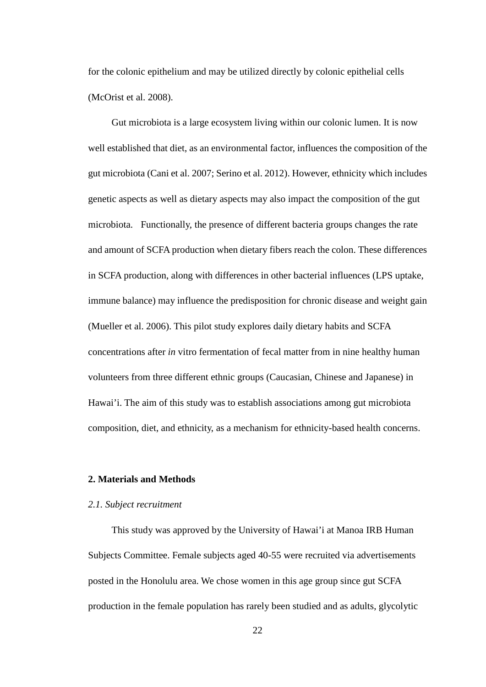for the colonic epithelium and may be utilized directly by colonic epithelial cells (McOrist et al. 2008).

 Gut microbiota is a large ecosystem living within our colonic lumen. It is now well established that diet, as an environmental factor, influences the composition of the gut microbiota (Cani et al. 2007; Serino et al. 2012). However, ethnicity which includes genetic aspects as well as dietary aspects may also impact the composition of the gut microbiota. Functionally, the presence of different bacteria groups changes the rate and amount of SCFA production when dietary fibers reach the colon. These differences in SCFA production, along with differences in other bacterial influences (LPS uptake, immune balance) may influence the predisposition for chronic disease and weight gain (Mueller et al. 2006). This pilot study explores daily dietary habits and SCFA concentrations after *in* vitro fermentation of fecal matter from in nine healthy human volunteers from three different ethnic groups (Caucasian, Chinese and Japanese) in Hawai'i. The aim of this study was to establish associations among gut microbiota composition, diet, and ethnicity, as a mechanism for ethnicity-based health concerns.

## **2. Materials and Methods**

## *2.1. Subject recruitment*

This study was approved by the University of Hawai'i at Manoa IRB Human Subjects Committee. Female subjects aged 40-55 were recruited via advertisements posted in the Honolulu area. We chose women in this age group since gut SCFA production in the female population has rarely been studied and as adults, glycolytic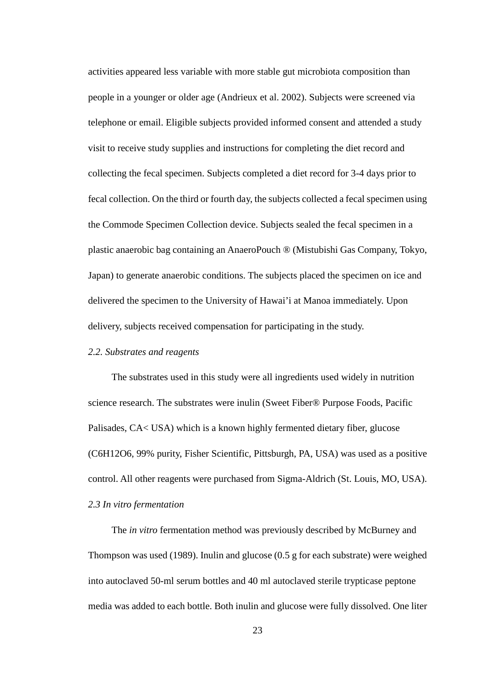activities appeared less variable with more stable gut microbiota composition than people in a younger or older age (Andrieux et al. 2002). Subjects were screened via telephone or email. Eligible subjects provided informed consent and attended a study visit to receive study supplies and instructions for completing the diet record and collecting the fecal specimen. Subjects completed a diet record for 3-4 days prior to fecal collection. On the third or fourth day, the subjects collected a fecal specimen using the Commode Specimen Collection device. Subjects sealed the fecal specimen in a plastic anaerobic bag containing an AnaeroPouch ® (Mistubishi Gas Company, Tokyo, Japan) to generate anaerobic conditions. The subjects placed the specimen on ice and delivered the specimen to the University of Hawai'i at Manoa immediately. Upon delivery, subjects received compensation for participating in the study.

## *2.2. Substrates and reagents*

 The substrates used in this study were all ingredients used widely in nutrition science research. The substrates were inulin (Sweet Fiber® Purpose Foods, Pacific Palisades, CA< USA) which is a known highly fermented dietary fiber, glucose (C6H12O6, 99% purity, Fisher Scientific, Pittsburgh, PA, USA) was used as a positive control. All other reagents were purchased from Sigma-Aldrich (St. Louis, MO, USA). *2.3 In vitro fermentation*

 The *in vitro* fermentation method was previously described by McBurney and Thompson was used (1989). Inulin and glucose (0.5 g for each substrate) were weighed into autoclaved 50-ml serum bottles and 40 ml autoclaved sterile trypticase peptone media was added to each bottle. Both inulin and glucose were fully dissolved. One liter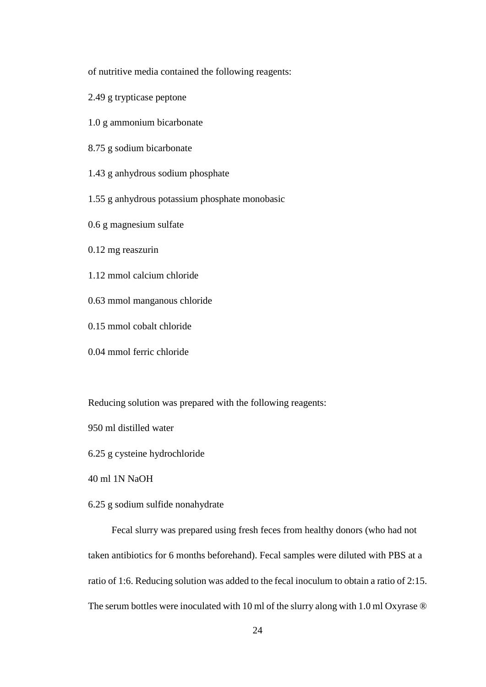of nutritive media contained the following reagents:

- 2.49 g trypticase peptone
- 1.0 g ammonium bicarbonate
- 8.75 g sodium bicarbonate
- 1.43 g anhydrous sodium phosphate
- 1.55 g anhydrous potassium phosphate monobasic
- 0.6 g magnesium sulfate
- 0.12 mg reaszurin
- 1.12 mmol calcium chloride
- 0.63 mmol manganous chloride
- 0.15 mmol cobalt chloride
- 0.04 mmol ferric chloride

Reducing solution was prepared with the following reagents:

950 ml distilled water

6.25 g cysteine hydrochloride

40 ml 1N NaOH

6.25 g sodium sulfide nonahydrate

 Fecal slurry was prepared using fresh feces from healthy donors (who had not taken antibiotics for 6 months beforehand). Fecal samples were diluted with PBS at a ratio of 1:6. Reducing solution was added to the fecal inoculum to obtain a ratio of 2:15. The serum bottles were inoculated with 10 ml of the slurry along with 1.0 ml Oxyrase  $\circledR$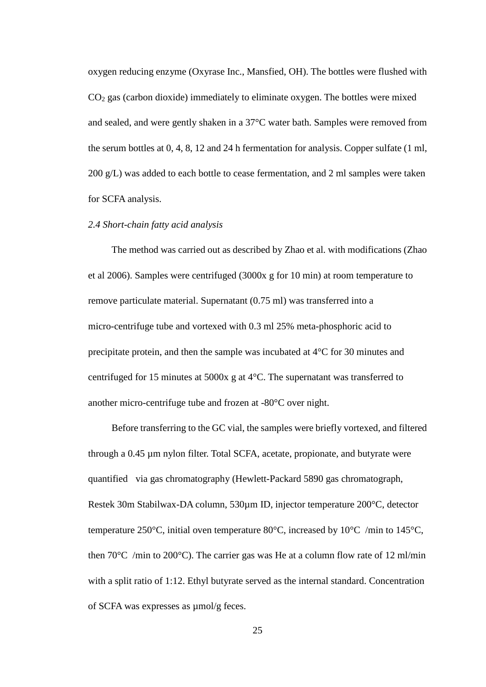oxygen reducing enzyme (Oxyrase Inc., Mansfied, OH). The bottles were flushed with  $CO<sub>2</sub>$  gas (carbon dioxide) immediately to eliminate oxygen. The bottles were mixed and sealed, and were gently shaken in a 37°C water bath. Samples were removed from the serum bottles at 0, 4, 8, 12 and 24 h fermentation for analysis. Copper sulfate (1 ml, 200 g/L) was added to each bottle to cease fermentation, and 2 ml samples were taken for SCFA analysis.

## *2.4 Short-chain fatty acid analysis*

 The method was carried out as described by Zhao et al. with modifications (Zhao et al 2006). Samples were centrifuged (3000x g for 10 min) at room temperature to remove particulate material. Supernatant (0.75 ml) was transferred into a micro-centrifuge tube and vortexed with 0.3 ml 25% meta-phosphoric acid to precipitate protein, and then the sample was incubated at 4°C for 30 minutes and centrifuged for 15 minutes at 5000x g at 4°C. The supernatant was transferred to another micro-centrifuge tube and frozen at -80°C over night.

 Before transferring to the GC vial, the samples were briefly vortexed, and filtered through a 0.45 µm nylon filter. Total SCFA, acetate, propionate, and butyrate were quantified via gas chromatography (Hewlett-Packard 5890 gas chromatograph, Restek 30m Stabilwax-DA column, 530µm ID, injector temperature 200°C, detector temperature 250°C, initial oven temperature 80°C, increased by 10°C /min to 145°C, then  $70^{\circ}$ C /min to  $200^{\circ}$ C). The carrier gas was He at a column flow rate of 12 ml/min with a split ratio of 1:12. Ethyl butyrate served as the internal standard. Concentration of SCFA was expresses as µmol/g feces.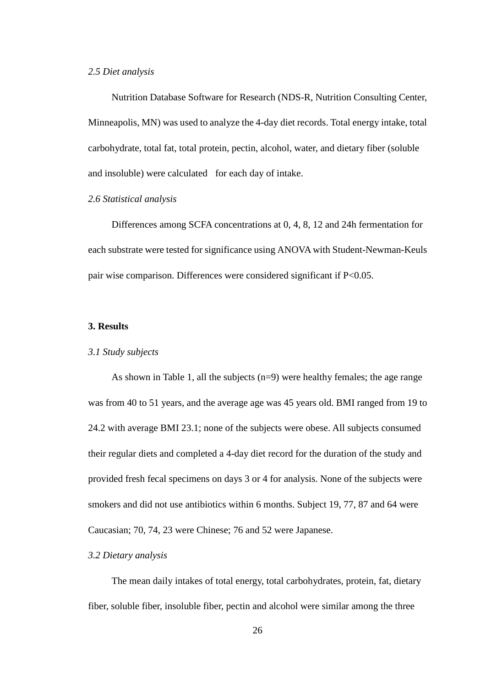## *2.5 Diet analysis*

 Nutrition Database Software for Research (NDS-R, Nutrition Consulting Center, Minneapolis, MN) was used to analyze the 4-day diet records. Total energy intake, total carbohydrate, total fat, total protein, pectin, alcohol, water, and dietary fiber (soluble and insoluble) were calculated for each day of intake.

## *2.6 Statistical analysis*

 Differences among SCFA concentrations at 0, 4, 8, 12 and 24h fermentation for each substrate were tested for significance using ANOVA with Student-Newman-Keuls pair wise comparison. Differences were considered significant if P<0.05.

## **3. Results**

## *3.1 Study subjects*

 As shown in Table 1, all the subjects (n=9) were healthy females; the age range was from 40 to 51 years, and the average age was 45 years old. BMI ranged from 19 to 24.2 with average BMI 23.1; none of the subjects were obese. All subjects consumed their regular diets and completed a 4-day diet record for the duration of the study and provided fresh fecal specimens on days 3 or 4 for analysis. None of the subjects were smokers and did not use antibiotics within 6 months. Subject 19, 77, 87 and 64 were Caucasian; 70, 74, 23 were Chinese; 76 and 52 were Japanese.

## *3.2 Dietary analysis*

 The mean daily intakes of total energy, total carbohydrates, protein, fat, dietary fiber, soluble fiber, insoluble fiber, pectin and alcohol were similar among the three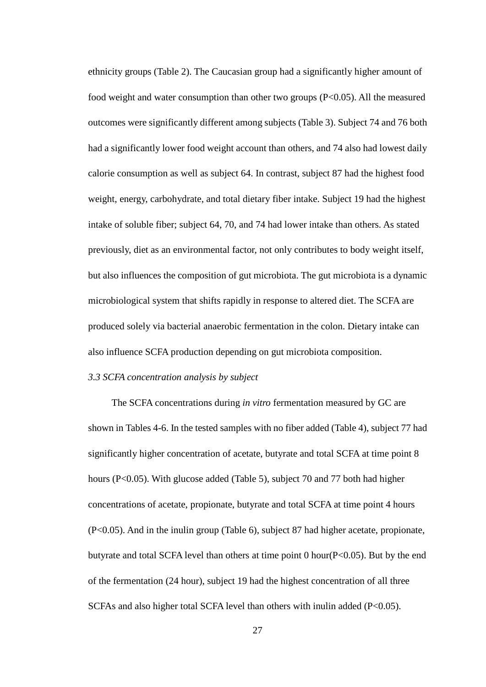ethnicity groups (Table 2). The Caucasian group had a significantly higher amount of food weight and water consumption than other two groups (P<0.05). All the measured outcomes were significantly different among subjects (Table 3). Subject 74 and 76 both had a significantly lower food weight account than others, and 74 also had lowest daily calorie consumption as well as subject 64. In contrast, subject 87 had the highest food weight, energy, carbohydrate, and total dietary fiber intake. Subject 19 had the highest intake of soluble fiber; subject 64, 70, and 74 had lower intake than others. As stated previously, diet as an environmental factor, not only contributes to body weight itself, but also influences the composition of gut microbiota. The gut microbiota is a dynamic microbiological system that shifts rapidly in response to altered diet. The SCFA are produced solely via bacterial anaerobic fermentation in the colon. Dietary intake can also influence SCFA production depending on gut microbiota composition.

## *3.3 SCFA concentration analysis by subject*

 The SCFA concentrations during *in vitro* fermentation measured by GC are shown in Tables 4-6. In the tested samples with no fiber added (Table 4), subject 77 had significantly higher concentration of acetate, butyrate and total SCFA at time point 8 hours (P<0.05). With glucose added (Table 5), subject 70 and 77 both had higher concentrations of acetate, propionate, butyrate and total SCFA at time point 4 hours (P<0.05). And in the inulin group (Table 6), subject 87 had higher acetate, propionate, butyrate and total SCFA level than others at time point 0 hour( $P<0.05$ ). But by the end of the fermentation (24 hour), subject 19 had the highest concentration of all three SCFAs and also higher total SCFA level than others with inulin added (P<0.05).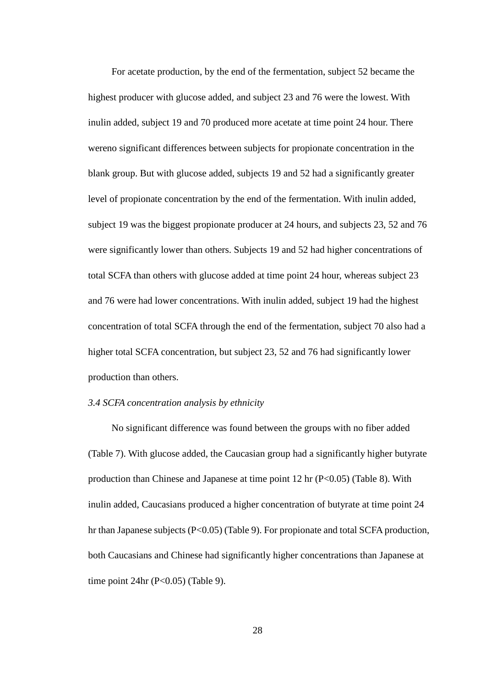For acetate production, by the end of the fermentation, subject 52 became the highest producer with glucose added, and subject 23 and 76 were the lowest. With inulin added, subject 19 and 70 produced more acetate at time point 24 hour. There wereno significant differences between subjects for propionate concentration in the blank group. But with glucose added, subjects 19 and 52 had a significantly greater level of propionate concentration by the end of the fermentation. With inulin added, subject 19 was the biggest propionate producer at 24 hours, and subjects 23, 52 and 76 were significantly lower than others. Subjects 19 and 52 had higher concentrations of total SCFA than others with glucose added at time point 24 hour, whereas subject 23 and 76 were had lower concentrations. With inulin added, subject 19 had the highest concentration of total SCFA through the end of the fermentation, subject 70 also had a higher total SCFA concentration, but subject 23, 52 and 76 had significantly lower production than others.

## *3.4 SCFA concentration analysis by ethnicity*

 No significant difference was found between the groups with no fiber added (Table 7). With glucose added, the Caucasian group had a significantly higher butyrate production than Chinese and Japanese at time point 12 hr (P<0.05) (Table 8). With inulin added, Caucasians produced a higher concentration of butyrate at time point 24 hr than Japanese subjects (P<0.05) (Table 9). For propionate and total SCFA production, both Caucasians and Chinese had significantly higher concentrations than Japanese at time point  $24hr$  (P<0.05) (Table 9).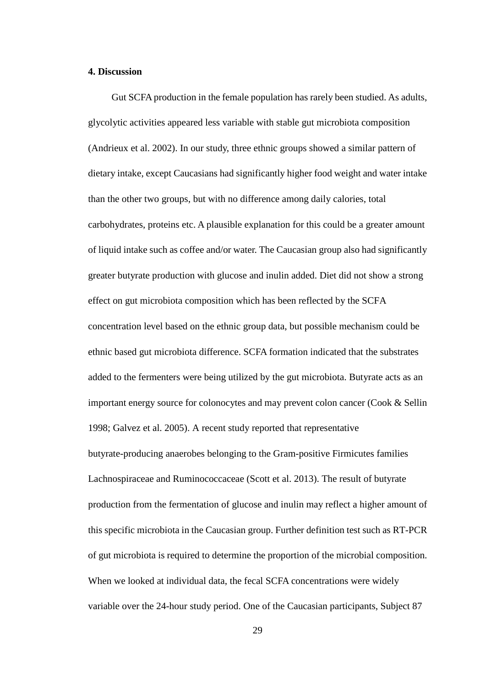## **4. Discussion**

 Gut SCFA production in the female population has rarely been studied. As adults, glycolytic activities appeared less variable with stable gut microbiota composition (Andrieux et al. 2002). In our study, three ethnic groups showed a similar pattern of dietary intake, except Caucasians had significantly higher food weight and water intake than the other two groups, but with no difference among daily calories, total carbohydrates, proteins etc. A plausible explanation for this could be a greater amount of liquid intake such as coffee and/or water. The Caucasian group also had significantly greater butyrate production with glucose and inulin added. Diet did not show a strong effect on gut microbiota composition which has been reflected by the SCFA concentration level based on the ethnic group data, but possible mechanism could be ethnic based gut microbiota difference. SCFA formation indicated that the substrates added to the fermenters were being utilized by the gut microbiota. Butyrate acts as an important energy source for colonocytes and may prevent colon cancer (Cook & Sellin 1998; Galvez et al. 2005). A recent study reported that representative butyrate-producing anaerobes belonging to the Gram-positive Firmicutes families Lachnospiraceae and Ruminococcaceae (Scott et al. 2013). The result of butyrate production from the fermentation of glucose and inulin may reflect a higher amount of this specific microbiota in the Caucasian group. Further definition test such as RT-PCR of gut microbiota is required to determine the proportion of the microbial composition. When we looked at individual data, the fecal SCFA concentrations were widely variable over the 24-hour study period. One of the Caucasian participants, Subject 87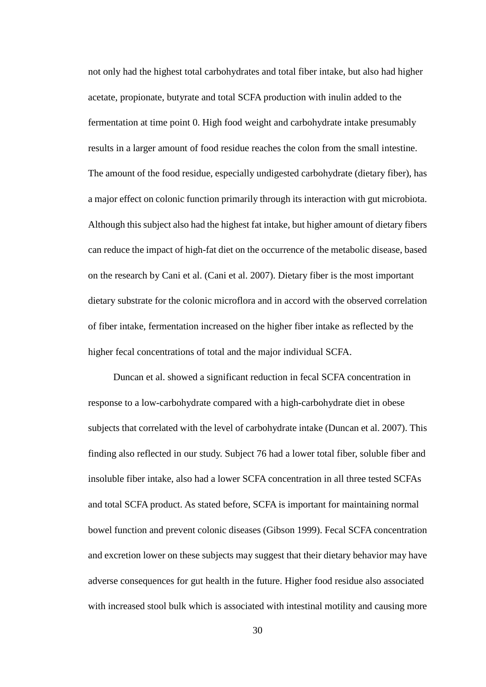not only had the highest total carbohydrates and total fiber intake, but also had higher acetate, propionate, butyrate and total SCFA production with inulin added to the fermentation at time point 0. High food weight and carbohydrate intake presumably results in a larger amount of food residue reaches the colon from the small intestine. The amount of the food residue, especially undigested carbohydrate (dietary fiber), has a major effect on colonic function primarily through its interaction with gut microbiota. Although this subject also had the highest fat intake, but higher amount of dietary fibers can reduce the impact of high-fat diet on the occurrence of the metabolic disease, based on the research by Cani et al. (Cani et al. 2007). Dietary fiber is the most important dietary substrate for the colonic microflora and in accord with the observed correlation of fiber intake, fermentation increased on the higher fiber intake as reflected by the higher fecal concentrations of total and the major individual SCFA.

Duncan et al. showed a significant reduction in fecal SCFA concentration in response to a low-carbohydrate compared with a high-carbohydrate diet in obese subjects that correlated with the level of carbohydrate intake (Duncan et al. 2007). This finding also reflected in our study. Subject 76 had a lower total fiber, soluble fiber and insoluble fiber intake, also had a lower SCFA concentration in all three tested SCFAs and total SCFA product. As stated before, SCFA is important for maintaining normal bowel function and prevent colonic diseases (Gibson 1999). Fecal SCFA concentration and excretion lower on these subjects may suggest that their dietary behavior may have adverse consequences for gut health in the future. Higher food residue also associated with increased stool bulk which is associated with intestinal motility and causing more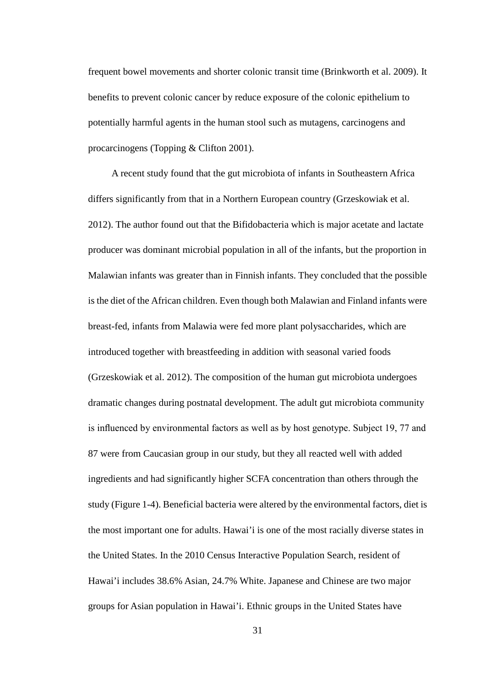frequent bowel movements and shorter colonic transit time (Brinkworth et al. 2009). It benefits to prevent colonic cancer by reduce exposure of the colonic epithelium to potentially harmful agents in the human stool such as mutagens, carcinogens and procarcinogens (Topping & Clifton 2001).

 A recent study found that the gut microbiota of infants in Southeastern Africa differs significantly from that in a Northern European country (Grzeskowiak et al. 2012). The author found out that the Bifidobacteria which is major acetate and lactate producer was dominant microbial population in all of the infants, but the proportion in Malawian infants was greater than in Finnish infants. They concluded that the possible is the diet of the African children. Even though both Malawian and Finland infants were breast-fed, infants from Malawia were fed more plant polysaccharides, which are introduced together with breastfeeding in addition with seasonal varied foods (Grzeskowiak et al. 2012). The composition of the human gut microbiota undergoes dramatic changes during postnatal development. The adult gut microbiota community is influenced by environmental factors as well as by host genotype. Subject 19, 77 and 87 were from Caucasian group in our study, but they all reacted well with added ingredients and had significantly higher SCFA concentration than others through the study (Figure 1-4). Beneficial bacteria were altered by the environmental factors, diet is the most important one for adults. Hawai'i is one of the most racially diverse states in the United States. In the 2010 Census Interactive Population Search, resident of Hawai'i includes 38.6% Asian, 24.7% White. Japanese and Chinese are two major groups for Asian population in Hawai'i. Ethnic groups in the United States have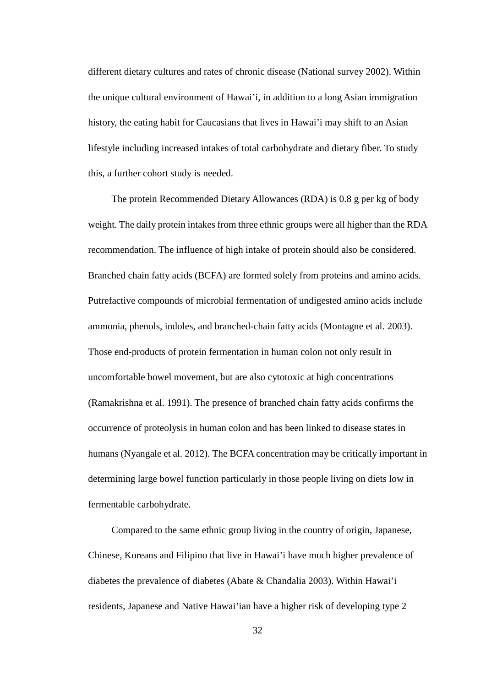different dietary cultures and rates of chronic disease (National survey 2002). Within the unique cultural environment of Hawai'i, in addition to a long Asian immigration history, the eating habit for Caucasians that lives in Hawai'i may shift to an Asian lifestyle including increased intakes of total carbohydrate and dietary fiber. To study this, a further cohort study is needed.

 The protein Recommended Dietary Allowances (RDA) is 0.8 g per kg of body weight. The daily protein intakes from three ethnic groups were all higher than the RDA recommendation. The influence of high intake of protein should also be considered. Branched chain fatty acids (BCFA) are formed solely from proteins and amino acids. Putrefactive compounds of microbial fermentation of undigested amino acids include ammonia, phenols, indoles, and branched-chain fatty acids (Montagne et al. 2003). Those end-products of protein fermentation in human colon not only result in uncomfortable bowel movement, but are also cytotoxic at high concentrations (Ramakrishna et al. 1991). The presence of branched chain fatty acids confirms the occurrence of proteolysis in human colon and has been linked to disease states in humans (Nyangale et al. 2012). The BCFA concentration may be critically important in determining large bowel function particularly in those people living on diets low in fermentable carbohydrate.

 Compared to the same ethnic group living in the country of origin, Japanese, Chinese, Koreans and Filipino that live in Hawai'i have much higher prevalence of diabetes the prevalence of diabetes (Abate & Chandalia 2003). Within Hawai'i residents, Japanese and Native Hawai'ian have a higher risk of developing type 2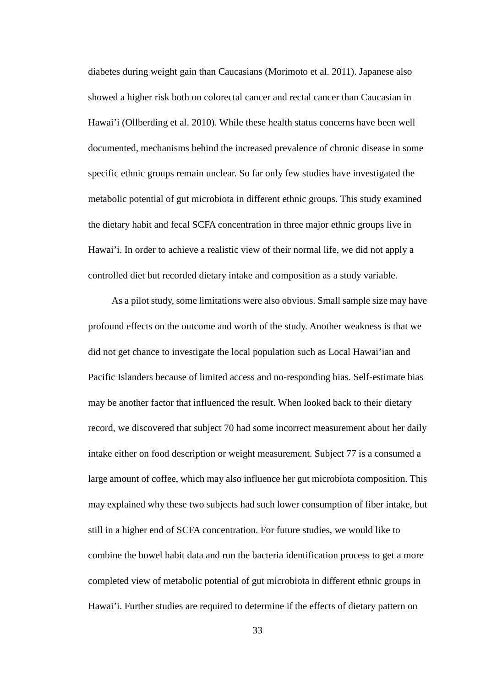diabetes during weight gain than Caucasians (Morimoto et al. 2011). Japanese also showed a higher risk both on colorectal cancer and rectal cancer than Caucasian in Hawai'i (Ollberding et al. 2010). While these health status concerns have been well documented, mechanisms behind the increased prevalence of chronic disease in some specific ethnic groups remain unclear. So far only few studies have investigated the metabolic potential of gut microbiota in different ethnic groups. This study examined the dietary habit and fecal SCFA concentration in three major ethnic groups live in Hawai'i. In order to achieve a realistic view of their normal life, we did not apply a controlled diet but recorded dietary intake and composition as a study variable.

 As a pilot study, some limitations were also obvious. Small sample size may have profound effects on the outcome and worth of the study. Another weakness is that we did not get chance to investigate the local population such as Local Hawai'ian and Pacific Islanders because of limited access and no-responding bias. Self-estimate bias may be another factor that influenced the result. When looked back to their dietary record, we discovered that subject 70 had some incorrect measurement about her daily intake either on food description or weight measurement. Subject 77 is a consumed a large amount of coffee, which may also influence her gut microbiota composition. This may explained why these two subjects had such lower consumption of fiber intake, but still in a higher end of SCFA concentration. For future studies, we would like to combine the bowel habit data and run the bacteria identification process to get a more completed view of metabolic potential of gut microbiota in different ethnic groups in Hawai'i. Further studies are required to determine if the effects of dietary pattern on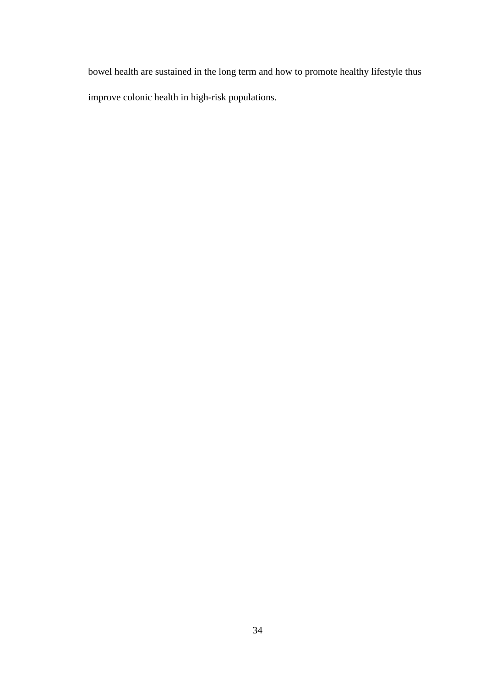bowel health are sustained in the long term and how to promote healthy lifestyle thus improve colonic health in high-risk populations.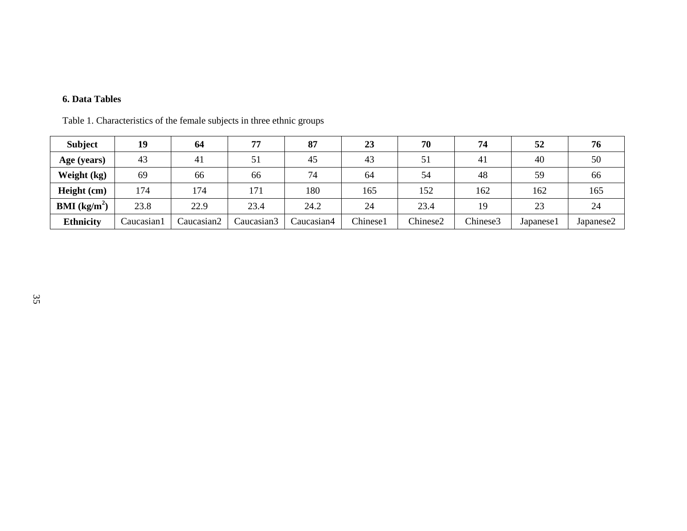## **6. Data Tables**

| <b>Subject</b>         | 19          | 64         | 77         | 87         | 23       | 70       | 74       | 52        | 76        |
|------------------------|-------------|------------|------------|------------|----------|----------|----------|-----------|-----------|
| Age (years)            | 43          | 41         | 51         | 45         | 43       | 51       | 41       | 40        | 50        |
| Weight (kg)            | 69          | 66         | 66         | 74         | 64       | 54       | 48       | 59        | 66        |
| Height (cm)            | 174         | 174        | 171        | 180        | 165      | 152      | 162      | 162       | 165       |
| <b>BMI</b> ( $kg/m2$ ) | 23.8        | 22.9       | 23.4       | 24.2       | 24       | 23.4     | 19       | 23        | 24        |
| <b>Ethnicity</b>       | Caucasian l | Caucasian2 | Caucasian3 | Caucasian4 | Chinese1 | Chinese2 | Chinese3 | Japanese1 | Japanese2 |

Table 1. Characteristics of the female subjects in three ethnic groups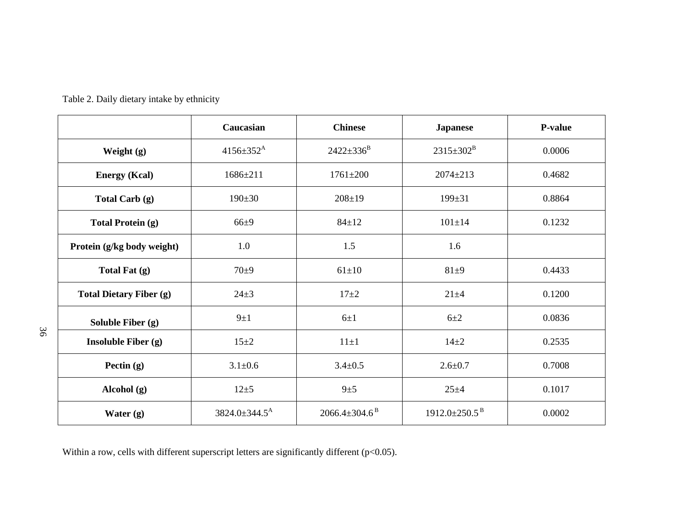|                                | Caucasian                     | <b>Chinese</b>                  | <b>Japanese</b>                 | <b>P-value</b> |
|--------------------------------|-------------------------------|---------------------------------|---------------------------------|----------------|
| Weight $(g)$                   | $4156 \pm 352^{\text{A}}$     | $2422 \pm 336^{\rm B}$          | $2315 \pm 302^B$                | 0.0006         |
| <b>Energy (Kcal)</b>           | $1686 \pm 211$                | $1761 \pm 200$                  | $2074 \pm 213$                  | 0.4682         |
| Total Carb (g)                 | $190 \pm 30$                  | $208 \pm 19$                    | $199 \pm 31$                    | 0.8864         |
| <b>Total Protein (g)</b>       | $66 + 9$                      | $84 \pm 12$                     | $101 \pm 14$                    | 0.1232         |
| Protein (g/kg body weight)     | 1.0                           | 1.5                             | 1.6                             |                |
| Total Fat (g)                  | $70\pm9$                      | $61 \pm 10$                     | $81\pm9$                        | 0.4433         |
| <b>Total Dietary Fiber (g)</b> | $24 + 3$                      | $17 + 2$                        | $21 + 4$                        | 0.1200         |
| Soluble Fiber (g)              | $9\pm1$                       | $6\pm1$                         | $6\pm2$                         | 0.0836         |
| Insoluble Fiber $(g)$          | $15 \pm 2$                    | $11\pm1$                        | $14\pm 2$                       | 0.2535         |
| Pectin $(g)$                   | $3.1 \pm 0.6$                 | $3.4 \pm 0.5$                   | $2.6 + 0.7$                     | 0.7008         |
| Alcohol (g)                    | $12 + 5$                      | $9\pm 5$                        | $25 + 4$                        | 0.1017         |
| Water $(g)$                    | $3824.0 \pm 344.5^{\text{A}}$ | $2066.4 \pm 304.6$ <sup>B</sup> | $1912.0 \pm 250.5$ <sup>B</sup> | 0.0002         |

Table 2. Daily dietary intake by ethnicity

Within a row, cells with different superscript letters are significantly different (p<0.05).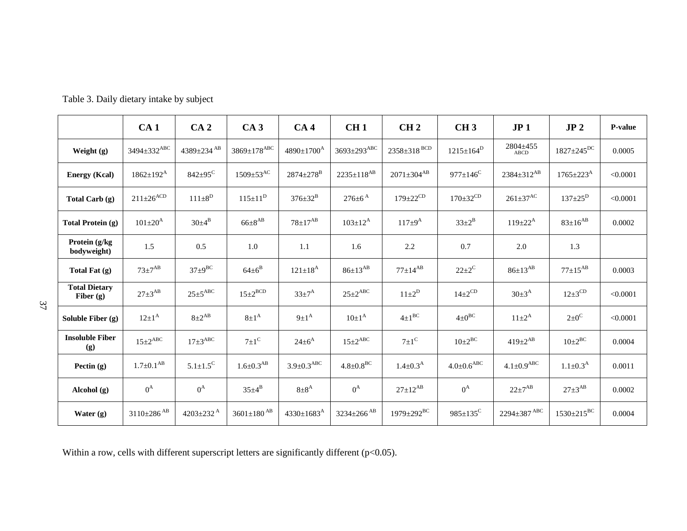|                                     | CA <sub>1</sub>               | CA <sub>2</sub>              | CA <sub>3</sub>                | CA <sub>4</sub>              | CH1                         | CH <sub>2</sub>            | CH <sub>3</sub>            | JP <sub>1</sub>              | JP <sub>2</sub>              | P-value  |
|-------------------------------------|-------------------------------|------------------------------|--------------------------------|------------------------------|-----------------------------|----------------------------|----------------------------|------------------------------|------------------------------|----------|
| Weight (g)                          | $3494 \pm 332$ <sup>ABC</sup> | 4389 $\pm$ 234 <sup>AB</sup> | $3869 \pm 178 ^{\mathrm{ABC}}$ | $4890 \pm 1700^{\text{A}}$   | 3693±293ABC                 | $2358 \pm 318$ BCD         | $1215 \pm 164^D$           | 2804±455<br>ABCD             | $1827 \pm 245$ <sup>DC</sup> | 0.0005   |
| <b>Energy (Kcal)</b>                | $1862 \pm 192^{\text{A}}$     | $842 \pm 95$ <sup>C</sup>    | $1509 \pm 53$ <sup>AC</sup>    | $2874 \pm 278$ <sup>B</sup>  | $2235 \pm 118^{AB}$         | $2071 \pm 304^{AB}$        | $977 \pm 146$ <sup>C</sup> | $2384 \pm 312^{AB}$          | $1765 \pm 223^{\rm A}$       | < 0.0001 |
| Total Carb (g)                      | $211\pm26^{ACD}$              | $111 \pm 8^D$                | $115 \pm 11^D$                 | $376 \pm 32^B$               | $276 \pm 6^{A}$             | $179 \pm 22$ <sup>CD</sup> | $170 \pm 32$ <sup>CD</sup> | $261\pm37$ <sup>AC</sup>     | $137 \pm 25^{\rm D}$         | < 0.0001 |
| <b>Total Protein (g)</b>            | $101 \pm 20^{\rm A}$          | $30\pm4^{B}$                 | $66\pm8^{AB}$                  | $78 \pm 17^{AB}$             | $103 \pm 12^{A}$            | $117 \pm 9^{\rm A}$        | $33 \pm 2^B$               | $119 \pm 22^{A}$             | $83{\pm}16^{AB}$             | 0.0002   |
| Protein (g/kg<br>bodyweight)        | 1.5                           | 0.5                          | 1.0                            | 1.1                          | 1.6                         | 2.2                        | 0.7                        | 2.0                          | 1.3                          |          |
| Total Fat (g)                       | $73\pm7^{AB}$                 | $37\pm9^{BC}$                | $64 \pm 6^B$                   | $121 \pm 18^{A}$             | $86 \pm 13^{AB}$            | $77 \pm 14^{AB}$           | $22 \pm 2^{\circ}$         | $86{\pm}13^{AB}$             | $77+15^{AB}$                 | 0.0003   |
| <b>Total Dietary</b><br>Fiber $(g)$ | $27 \pm 3^{AB}$               | $25 \pm 5$ <sup>ABC</sup>    | $15 \pm 2^{BCD}$               | $33 \pm 7^{\rm A}$           | $25 \pm 2^{ABC}$            | $11\pm2^D$                 | $14\pm2^{CD}$              | $30 \pm 3^{A}$               | $12\pm3$ <sup>CD</sup>       | < 0.0001 |
| Soluble Fiber (g)                   | $12\pm1^{A}$                  | $8\pm2^{AB}$                 | $8\pm1^{A}$                    | $9\pm1^{A}$                  | $10\pm1^{A}$                | $4\pm1^{BC}$               | $4\pm0^{BC}$               | $11 \pm 2^{A}$               | $2\pm 0$ <sup>C</sup>        | < 0.0001 |
| <b>Insoluble Fiber</b><br>(g)       | $15 \pm 2$ <sup>ABC</sup>     | $17\pm3$ <sup>ABC</sup>      | $7 \pm 1$ <sup>C</sup>         | $24 \pm 6^{A}$               | $15 \pm 2$ <sup>ABC</sup>   | $7\pm1$ <sup>C</sup>       | $10\pm2^{BC}$              | $419 \pm 2^{AB}$             | $10\pm2^{BC}$                | 0.0004   |
| Pectin $(g)$                        | $1.7 \pm 0.1^{AB}$            | $5.1 \pm 1.5^C$              | $1.6 \pm 0.3$ <sup>AB</sup>    | $3.9 \pm 0.3$ <sup>ABC</sup> | $4.8 \pm 0.8$ <sup>BC</sup> | $1.4 \pm 0.3^{\rm A}$      | $4.0 \pm 0.6^\text{ABC}$   | $4.1 \pm 0.9$ <sup>ABC</sup> | $1.1 \pm 0.3^{\rm A}$        | 0.0011   |
| Alcohol (g)                         | $0^{\rm A}$                   | $0^{\rm A}$                  | $35\pm4^B$                     | $8\pm8^{A}$                  | $0^{\rm A}$                 | $27 \pm 12^{AB}$           | $0^{\rm A}$                | $22 \pm 7^{AB}$              | $27 \pm 3^{AB}$              | 0.0002   |
| Water (g)                           | $3110 \pm 286$ <sup>AB</sup>  | 4203 $\pm$ 232 <sup>A</sup>  | $3601{\pm}180$ $^{\rm AB}$     | $4330 \pm 1683$ <sup>A</sup> | $3234\pm266$ $^{\rm AB}$    | $1979 \pm 292 ^{\rm BC}$   | $985 \pm 135^{\circ}$      | $2294\pm387$ $^{\text{ABC}}$ | $1530 \pm 215^{BC}$          | 0.0004   |

Table 3. Daily dietary intake by subject

Within a row, cells with different superscript letters are significantly different (p<0.05).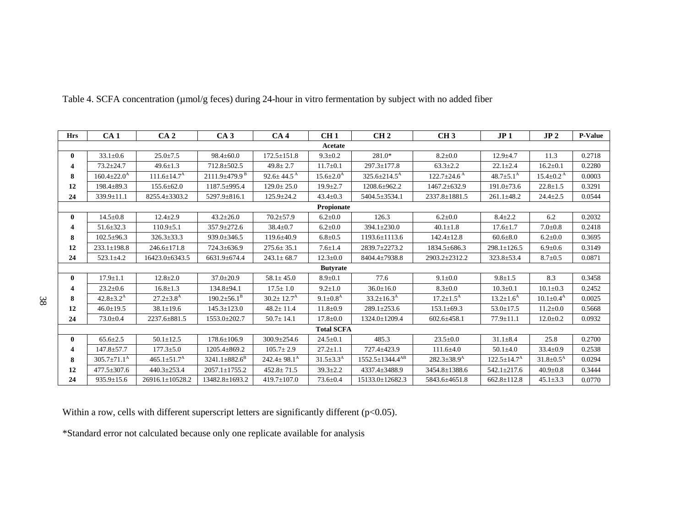| <b>Hrs</b> | CA <sub>1</sub>             | CA <sub>2</sub>               | CA3                             | CA <sub>4</sub>             | CH <sub>1</sub>        | CH <sub>2</sub>                   | CH <sub>3</sub>               | JP1                           | JP <sub>2</sub>             | <b>P-Value</b> |
|------------|-----------------------------|-------------------------------|---------------------------------|-----------------------------|------------------------|-----------------------------------|-------------------------------|-------------------------------|-----------------------------|----------------|
|            |                             |                               |                                 |                             | Acetate                |                                   |                               |                               |                             |                |
| 0          | $33.1 \pm 0.6$              | $25.0 \pm 7.5$                | $98.4 \pm 60.0$                 | $172.5 \pm 151.8$           | $9.3 \pm 0.2$          | 281.0*                            | $8.2 \pm 0.0$                 | $12.9 + 4.7$                  | 11.3                        | 0.2718         |
| 4          | $73.2 \pm 24.7$             | $49.6 \pm 1.3$                | $712.8 \pm 502.5$               | $49.8 \pm 2.7$              | $11.7 \pm 0.1$         | $297.3 \pm 177.8$                 | $63.3 \pm 2.2$                | $22.1 \pm 2.4$                | $16.2 \pm 0.1$              | 0.2280         |
| 8          | $160.4 \pm 22.0^{\rm A}$    | $111.6 \pm 14.7$ <sup>A</sup> | $2111.9 \pm 479.9$ <sup>B</sup> | $92.6 \pm 44.5^{\text{A}}$  | $15.6 \pm 2.0^{\rm A}$ | $325.6 \pm 214.5^{\text{A}}$      | $122.7 \pm 24.6$ <sup>A</sup> | $48.7 \pm 5.1^{\rm A}$        | $15.4 \pm 0.2$ <sup>A</sup> | 0.0003         |
| 12         | $198.4 + 89.3$              | $155.6 \pm 62.0$              | $1187.5 + 995.4$                | $129.0 \pm 25.0$            | $19.9 \pm 2.7$         | 1208.6±962.2                      | $1467.2 + 632.9$              | $191.0 \pm 73.6$              | $22.8 \pm 1.5$              | 0.3291         |
| 24         | 339.9±11.1                  | 8255.4±3303.2                 | 5297.9±816.1                    | $125.9 \pm 24.2$            | $43.4 \pm 0.3$         | 5404.5±3534.1                     | 2337.8±1881.5                 | $261.1 \pm 48.2$              | $24.4 \pm 2.5$              | 0.0544         |
|            |                             |                               |                                 |                             | Propionate             |                                   |                               |                               |                             |                |
| 0          | $14.5 \pm 0.8$              | $12.4 \pm 2.9$                | $43.2 \pm 26.0$                 | $70.2 \pm 57.9$             | $6.2 \pm 0.0$          | 126.3                             | $6.2 \pm 0.0$                 | $8.4 + 2.2$                   | 6.2                         | 0.2032         |
| 4          | $51.6 \pm 32.3$             | $110.9 \pm 5.1$               | $357.9 \pm 272.6$               | $38.4 \pm 0.7$              | $6.2 \pm 0.0$          | $394.1 \pm 230.0$                 | $40.1 \pm 1.8$                | $17.6 \pm 1.7$                | $7.0 + 0.8$                 | 0.2418         |
| 8          | $102.5 \pm 96.3$            | $326.3 \pm 33.3$              | $939.0 \pm 346.5$               | $119.6 \pm 40.9$            | $6.8 \pm 0.5$          | 1193.6±1113.6                     | $142.4 \pm 12.8$              | $60.6{\pm}8.0$                | $6.2 \pm 0.0$               | 0.3695         |
| 12         | $233.1 \pm 198.8$           | $246.6 \pm 171.8$             | 724.3±636.9                     | $275.6 \pm 35.1$            | $7.6 \pm 1.4$          | 2839.7±2273.2                     | $1834.5 \pm 686.3$            | $298.1 \pm 126.5$             | $6.9 \pm 0.6$               | 0.3149         |
| 24         | $523.1 + 4.2$               | 16423.0±6343.5                | 6631.9±674.4                    | $243.1 \pm 68.7$            | $12.3 \pm 0.0$         | 8404.4±7938.8                     | 2903.2±2312.2                 | $323.8 + 53.4$                | $8.7 \pm 0.5$               | 0.0871         |
|            |                             |                               |                                 |                             | <b>Butyrate</b>        |                                   |                               |                               |                             |                |
| 0          | $17.9 \pm 1.1$              | $12.8 \pm 2.0$                | $37.0 \pm 20.9$                 | $58.1 \pm 45.0$             | $8.9 + 0.1$            | 77.6                              | $9.1 \pm 0.0$                 | $9.8 \pm 1.5$                 | 8.3                         | 0.3458         |
| 4          | $23.2 \pm 0.6$              | $16.8 \pm 1.3$                | $134.8 + 94.1$                  | $17.5 \pm 1.0$              | $9.2 \pm 1.0$          | $36.0 \pm 16.0$                   | $8.3 \pm 0.0$                 | $10.3 \pm 0.1$                | $10.1 \pm 0.3$              | 0.2452         |
| 8          | $42.8 \pm 3.2^{\rm A}$      | $27.2 \pm 3.8$ <sup>A</sup>   | $190.2 \pm 56.1^{\overline{B}}$ | $30.2 \pm 12.7^{\rm A}$     | $9.1 \pm 0.8^{\rm A}$  | $33.2 \pm 16.3^{\rm A}$           | $17.2 \pm 1.5^{\rm A}$        | $13.2 \pm 1.6^{\rm A}$        | $10.1 \pm 0.4^{\rm A}$      | 0.0025         |
| 12         | $46.0 \pm 19.5$             | $38.1 \pm 19.6$               | $145.3 \pm 123.0$               | $48.2 \pm 11.4$             | $11.8 \pm 0.9$         | 289.1±253.6                       | $153.1 \pm 69.3$              | $53.0 \pm 17.5$               | $11.2 \pm 0.0$              | 0.5668         |
| 24         | $73.0 \pm 0.4$              | 2237.6±881.5                  | $1553.0 \pm 202.7$              | $50.7 \pm 14.1$             | $17.8 \pm 0.0$         | 1324.0±1209.4                     | $602.6 \pm 458.1$             | $77.9 \pm 11.1$               | $12.0 \pm 0.2$              | 0.0932         |
|            |                             |                               |                                 |                             | <b>Total SCFA</b>      |                                   |                               |                               |                             |                |
| 0          | $65.6 \pm 2.5$              | $50.1 \pm 12.5$               | $178.6 \pm 106.9$               | $300.9 \pm 254.6$           | $24.5 \pm 0.1$         | 485.3                             | $23.5 \pm 0.0$                | $31.1 \pm 8.4$                | 25.8                        | 0.2700         |
| 4          | $147.8 + 57.7$              | $177.3 \pm 5.0$               | $1205.4 \pm 869.2$              | $105.7 \pm 2.9$             | $27.2 \pm 1.1$         | 727.4±423.9                       | $111.6 \pm 4.0$               | $50.1 \pm 4.0$                | $33.4 \pm 0.9$              | 0.2538         |
| 8          | $305.7 \pm 71.1^{\text{A}}$ | $465.1 \pm 51.7$ <sup>A</sup> | $3241.1 \pm 882.6^B$            | $242.4 \pm 98.1^{\text{A}}$ | $31.5 \pm 3.3^{\rm A}$ | $1552.5 \pm 1344.4$ <sup>AB</sup> | $282.3 \pm 38.9$ <sup>A</sup> | $122.5 \pm 14.7$ <sup>A</sup> | $31.8 \pm 0.5^{\rm A}$      | 0.0294         |
| 12         | $477.5 \pm 307.6$           | 440.3±253.4                   | $2057.1 \pm 1755.2$             | $452.8 \pm 71.5$            | $39.3 \pm 2.2$         | 4337.4±3488.9                     | 3454.8±1388.6                 | 542.1±217.6                   | $40.9 \pm 0.8$              | 0.3444         |
| 24         | $935.9 \pm 15.6$            | $26916.1 \pm 10528.2$         | 13482.8±1693.2                  | $419.7 \pm 107.0$           | $73.6 \pm 0.4$         | 15133.0±12682.3                   | 5843.6±4651.8                 | $662.8 \pm 112.8$             | $45.1 \pm 3.3$              | 0.0770         |

Table 4. SCFA concentration (µmol/g feces) during 24-hour in vitro fermentation by subject with no added fiber

Within a row, cells with different superscript letters are significantly different (p<0.05).

\*Standard error not calculated because only one replicate available for analysis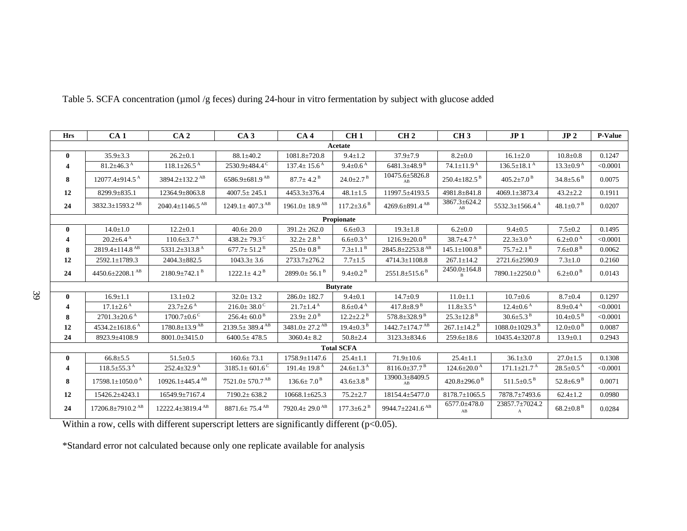| <b>Hrs</b>       | CA <sub>1</sub>                    | CA <sub>2</sub>                    | CA <sub>3</sub>                  | CA <sub>4</sub>                 | CH1                          | CH <sub>2</sub>                   | CH <sub>3</sub>                | JP <sub>1</sub>                  | JP <sub>2</sub>                                   | <b>P-Value</b> |
|------------------|------------------------------------|------------------------------------|----------------------------------|---------------------------------|------------------------------|-----------------------------------|--------------------------------|----------------------------------|---------------------------------------------------|----------------|
|                  |                                    |                                    |                                  |                                 | Acetate                      |                                   |                                |                                  |                                                   |                |
| $\bf{0}$         | $35.9 \pm 3.3$                     | $26.2 \pm 0.1$                     | $88.1 \pm 40.2$                  | $1081.8 \pm 720.8$              | $9.4 \pm 1.2$                | $37.9 \pm 7.9$                    | $8.2 \pm 0.0$                  | $16.1 \pm 2.0$                   | $10.8 + 0.8$                                      | 0.1247         |
| 4                | $81.2 \pm 46.3$ <sup>A</sup>       | $118.1 \pm 26.5$ <sup>A</sup>      | 2530.9±484.4 <sup>C</sup>        | $137.4 \pm 15.6^{\text{A}}$     | $9.4 \pm 0.6$ <sup>A</sup>   | $6481.3\pm48.9^{\,\mathrm{B}}$    | $74.1 \pm 11.9^{\,A}$          | $136.5 \pm 18.1$ <sup>A</sup>    | $13.3 \pm 0.9^{\text{A}}$                         | < 0.0001       |
| 8                | $12077.4 \pm 914.5$ <sup>A</sup>   | $3894.2 \pm 132.2$ <sup>AB</sup>   | $6586.9\pm 681.9$ <sup>AB</sup>  | $87.7 \pm 4.2^{\text{B}}$       | $24.0 \pm 2.7$ <sup>B</sup>  | 10475.6±5826.8<br>AB              | $250.4 \pm 182.5$ <sup>B</sup> | $405.2 \pm 7.0$ <sup>B</sup>     | $34.8 \pm 5.6^{\text{B}}$                         | 0.0075         |
| 12               | 8299.9±835.1                       | 12364.9±8063.8                     | $4007.5 \pm 245.1$               | 4453.3±376.4                    | $48.1 \pm 1.5$               | 11997.5±4193.5                    | 4981.8±841.8                   | 4069.1±3873.4                    | $43.2 \pm 2.2$                                    | 0.1911         |
| 24               | 3832.3±1593.2 <sup>AB</sup>        | $2040.4 \pm 1146.5$ <sup>AB</sup>  | $1249.1 \pm 407.3$ <sup>AB</sup> | $1961.0 \pm 18.9$ <sup>AB</sup> | $117.2 \pm 3.6^{\text{B}}$   | $4269.6 \pm 891.4$ <sup>AB</sup>  | 3867.3±624.2<br>AB             | 5532.3 $\pm$ 1566.4 <sup>A</sup> | $48.1 \pm 0.7$ <sup>B</sup>                       | 0.0207         |
|                  |                                    |                                    |                                  |                                 | Propionate                   |                                   |                                |                                  |                                                   |                |
| $\mathbf{0}$     | $14.0 \pm 1.0$                     | $12.2 \pm 0.1$                     | $40.6 \pm 20.0$                  | $391.2 \pm 262.0$               | $6.6 \pm 0.3$                | $19.3 \pm 1.8$                    | $6.2 \pm 0.0$                  | $9.4 \pm 0.5$                    | $7.5 \pm 0.2$                                     | 0.1495         |
|                  | $20.2 \pm 6.4$ <sup>A</sup>        | $110.6 \pm 3.7$ <sup>A</sup>       | 438.2 $\pm$ 79.3 <sup>C</sup>    | $32.2 \pm 2.8$ <sup>A</sup>     | $6.6 \pm 0.3$ <sup>A</sup>   | $1216.9 \pm 20.0$ <sup>B</sup>    | $38.7 \pm 4.7^{\text{A}}$      | $22.3 \pm 3.0^{\text{A}}$        | $6.2 \pm 0.0^{\text{A}}$                          | < 0.0001       |
| 8                | $2819.4 \pm 114.8$ <sup>AB</sup>   | 5331.2 $\pm$ 313.8 <sup>A</sup>    | $677.7 \pm 51.2^{\text{B}}$      | $25.0 \pm 0.8$ <sup>B</sup>     | $7.3 \pm 1.1$ <sup>B</sup>   | 2845.8±2253.8 <sup>AB</sup>       | $145.1 \pm 100.8$ <sup>B</sup> | $75.7 \pm 2.1$ <sup>B</sup>      | $7.6{\scriptstyle \pm0.8}^{\scriptscriptstyle B}$ | 0.0062         |
| 12               | 2592.1±1789.3                      | 2404.3±882.5                       | $1043.3 \pm 3.6$                 | 2733.7±276.2                    | $7.7 \pm 1.5$                | 4714.3±1108.8                     | $267.1 \pm 14.2$               | 2721.6±2590.9                    | $7.3 \pm 1.0$                                     | 0.2160         |
| 24               | 4450.6 $\pm$ 2208.1 <sup>AB</sup>  | $2180.9+742.1B$                    | $1222.1 \pm 4.2^{\text{B}}$      | $2899.0 \pm 56.1$ <sup>B</sup>  | $9.4 \pm 0.2$ <sup>B</sup>   | $2551.8 \pm 515.6$ <sup>B</sup>   | $2450.0 \pm 164.8$             | 7890.1±2250.0 <sup>A</sup>       | $6.2{\pm}0.0B$                                    | 0.0143         |
|                  |                                    |                                    |                                  |                                 | <b>Butyrate</b>              |                                   |                                |                                  |                                                   |                |
| $\bf{0}$         | $16.9 \pm 1.1$                     | $13.1 \pm 0.2$                     | $32.0 \pm 13.2$                  | $286.0 \pm 182.7$               | $9.4 \pm 0.1$                | $14.7 \pm 0.9$                    | $11.0 \pm 1.1$                 | $10.7 \pm 0.6$                   | $8.7 \pm 0.4$                                     | 0.1297         |
| $\boldsymbol{A}$ | $17.1 \pm 2.6^{\text{A}}$          | $23.7 \pm 2.6^{\text{A}}$          | $216.0 \pm 38.0$ <sup>C</sup>    | $21.7 \pm 1.4^{\text{A}}$       | $8.6 \pm 0.4$ <sup>A</sup>   | $417.8 \pm 8.9^{\,\mathrm{B}}$    | $11.8 \pm 3.5$ <sup>A</sup>    | $12.4 \pm 0.6^{\text{A}}$        | $8.9 \pm 0.4$ <sup>A</sup>                        | < 0.0001       |
| 8                | $2701.3 \pm 20.6$ <sup>A</sup>     | $1700.7 \pm 0.6$ <sup>C</sup>      | $256.4 \pm 60.0^{\text{ B}}$     | $23.9 \pm 2.0^{\text{B}}$       | $12.2 \pm 2.2$ <sup>B</sup>  | 578.8 $\pm$ 328.9 <sup>B</sup>    | $25.3 \pm 12.8$ <sup>B</sup>   | $30.6 \pm 5.3^{\text{B}}$        | $10.4 \pm 0.5$ <sup>B</sup>                       | < 0.0001       |
| 12               | $4534.2 \pm 1618.6$ <sup>A</sup>   | $1780.8 \pm 13.9$ <sup>AB</sup>    | $2139.5 \pm 389.4$ <sup>AB</sup> | $3481.0 \pm 27.2$ <sup>AB</sup> | $19.4 \pm 0.3$ <sup>B</sup>  | $1442.7 \pm 174.7$ <sup>AB</sup>  | $267.1 \pm 14.2$ <sup>B</sup>  | $1088.0 \pm 1029.3$ <sup>B</sup> | $12.0 \pm 0.0$ <sup>B</sup>                       | 0.0087         |
| 24               | 8923.9±4108.9                      | $8001.0 \pm 3415.0$                | $6400.5 \pm 478.5$               | $3060.4 \pm 8.2$                | $50.8 \pm 2.4$               | 3123.3±834.6                      | $259.6 \pm 18.6$               | 10435.4±3207.8                   | $13.9 \pm 0.1$                                    | 0.2943         |
|                  |                                    |                                    |                                  |                                 | <b>Total SCFA</b>            |                                   |                                |                                  |                                                   |                |
| $\bf{0}$         | $66.8{\pm}5.5$                     | $51.5 \pm 0.5$                     | $160.6 \pm 73.1$                 | 1758.9±1147.6                   | $25.4 \pm 1.1$               | $71.9 \pm 10.6$                   | $25.4 \pm 1.1$                 | $36.1 \pm 3.0$                   | $27.0 \pm 1.5$                                    | 0.1308         |
| 4                | $118.5 \pm 55.3$ <sup>A</sup>      | $252.4 \pm 32.9$ <sup>A</sup>      | $3185.1 \pm 601.6^{\circ}$       | $191.4 \pm 19.8$ <sup>A</sup>   | $24.6 \pm 1.3^{\text{A}}$    | $8116.0 \pm 37.7$ <sup>B</sup>    | $124.6 \pm 20.0$ <sup>A</sup>  | $171.1 \pm 21.7$ <sup>A</sup>    | $28.5 \pm 0.5$ <sup>A</sup>                       | < 0.0001       |
| 8                | $17598.1 + 1050.0^{\text{A}}$      | $10926.1 + 445.4$ <sup>AB</sup>    | $7521.0 + 570.7$ <sup>AB</sup>   | $136.6 \pm 7.0^{\,\mathrm{B}}$  | $43.6 \pm 3.8$ <sup>B</sup>  | 13900.3±8409.5<br>AB              | 420.8 $\pm$ 296.0 <sup>B</sup> | $511.5 \pm 0.5$ <sup>B</sup>     | $52.8 \pm 6.9^{\,\mathrm{B}}$                     | 0.0071         |
| 12               | 15426.2±4243.1                     | 16549.9±7167.4                     | $7190.2 \pm 638.2$               | $10668.1 \pm 625.3$             | $75.2 \pm 2.7$               | 18154.4±5477.0                    | $8178.7 \pm 1065.5$            | 7878.7±7493.6                    | $62.4 \pm 1.2$                                    | 0.0980         |
| 24               | $17206.8 \pm 7910.2$ <sup>AB</sup> | $12222.4 \pm 3819.4$ <sup>AB</sup> | $8871.6 \pm 75.4$ <sup>AB</sup>  | $7920.4 \pm 29.0$ <sup>AB</sup> | $177.3 \pm 6.2$ <sup>B</sup> | 9944.7 $\pm$ 2241.6 <sup>AB</sup> | 6577.0±478.0<br>AB             | 23857.7±7024.2<br>$\mathbf{A}$   | $68.2{\pm}0.8^{\text{ B}}$                        | 0.0284         |

Table 5. SCFA concentration (µmol /g feces) during 24-hour in vitro fermentation by subject with glucose added

Within a row, cells with different superscript letters are significantly different  $(p<0.05)$ .

\*Standard error not calculated because only one replicate available for analysis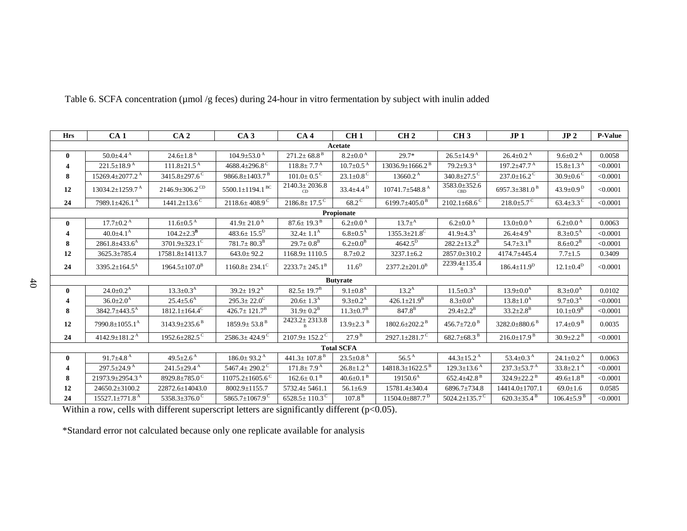| <b>Hrs</b>   | CA <sub>1</sub>                   | CA <sub>2</sub>                  | CA <sub>3</sub>                   | CA <sub>4</sub>                 | CH1                         | CH <sub>2</sub>                   | CH <sub>3</sub>                 | JP <sub>1</sub>                 | JP <sub>2</sub>               | <b>P-Value</b> |
|--------------|-----------------------------------|----------------------------------|-----------------------------------|---------------------------------|-----------------------------|-----------------------------------|---------------------------------|---------------------------------|-------------------------------|----------------|
|              |                                   |                                  |                                   |                                 | Acetate                     |                                   |                                 |                                 |                               |                |
| $\mathbf{0}$ | $50.0 \pm 4.4$ <sup>A</sup>       | $24.6 \pm 1.8$ <sup>A</sup>      | $104.9 + 53.0^{\text{A}}$         | $271.2 \pm 68.8$ <sup>B</sup>   | $8.2 \pm 0.0$ <sup>A</sup>  | $29.7*$                           | $26.5 \pm 14.9^{\text{A}}$      | $26.4 \pm 0.2^{\text{A}}$       | $9.6 \pm 0.2$ <sup>A</sup>    | 0.0058         |
| 4            | $221.5 \pm 18.9^{\text{A}}$       | $111.8 \pm 21.5$ <sup>A</sup>    | 4688.4 $\pm$ 296.8 <sup>C</sup>   | $118.8 \pm 7.7^{\text{A}}$      | $10.7 \pm 0.5$ <sup>A</sup> | $13036.9 \pm 1666.2$ <sup>B</sup> | $79.2 \pm 9.3$ <sup>A</sup>     | $197.2 + 47.7^{\text{A}}$       | $15.8 \pm 1.3^{\text{A}}$     | < 0.0001       |
| 8            | $15269.4 \pm 2077.2$ <sup>A</sup> | 3415.8 $\pm$ 297.6 <sup>C</sup>  | 9866.8 $\pm$ 1403.7 <sup>B</sup>  | $101.0 \pm 0.5$ <sup>C</sup>    | $23.1 \pm 0.8$ <sup>C</sup> | $13660.2^{\text{A}}$              | $340.8 \pm 27.5$ <sup>C</sup>   | $237.0 \pm 16.2$ <sup>C</sup>   | $30.9 \pm 0.6$ <sup>C</sup>   | < 0.0001       |
| 12           | $13034.2 \pm 1259.7$ <sup>A</sup> | $2146.9 \pm 306.2$ <sup>CD</sup> | $5500.1 \pm 1194.1$ <sup>BC</sup> | $2140.3 \pm 2036.8$<br>CD       | $33.4 \pm 4.4^{\,\rm D}$    | $10741.7 \pm 548.8$ <sup>A</sup>  | 3583.0±352.6<br><b>CBD</b>      | 6957.3 $\pm$ 381.0 <sup>B</sup> | $43.9 \pm 0.9$ <sup>D</sup>   | < 0.0001       |
| 24           | 7989.1 $\pm$ 426.1 <sup>A</sup>   | $1441.2 \pm 13.6$ <sup>C</sup>   | $2118.6 \pm 408.9^{\circ}$        | $2186.8 \pm 17.5^{\circ}$       | $68.2^{\circ}$              | 6199.7 $\pm$ 405.0 <sup>B</sup>   | $2102.1\pm68.6^{\circ}$         | $218.0 \pm 5.7$ <sup>C</sup>    | $63.4 \pm 3.3$ <sup>C</sup>   | < 0.0001       |
|              |                                   |                                  |                                   |                                 | Propionate                  |                                   |                                 |                                 |                               |                |
| $\bf{0}$     | $17.7 \pm 0.2$ <sup>A</sup>       | $11.6 \pm 0.5$ <sup>A</sup>      | $41.9 \pm 21.0^{\text{A}}$        | $87.6 \pm 19.3$ <sup>B</sup>    | $6.2{\pm}0.0^{\,\rm A}$     | $13.7\pm ^{A}$                    | $6.2 \pm 0.0^{\text{A}}$        | $13.0 \pm 0.0^{\text{A}}$       | $6.2 \pm 0.0^{\text{A}}$      | 0.0063         |
| 4            | $40.0 \pm 4.1^{\rm A}$            | $104.2 \pm 2.3^{\rm B}$          | $483.6 \pm 15.5^D$                | $32.4 \pm 1.1^{\rm A}$          | $6.8 \pm 0.5^{\rm A}$       | $1355.3 \pm 21.8$ <sup>C</sup>    | 41.9 $\pm$ 4.3 <sup>A</sup>     | $26.4 \pm 4.9^{\rm A}$          | $8.3 \pm 0.5^{\text{A}}$      | < 0.0001       |
| 8            | $2861.8 \pm 433.6^{\text{A}}$     | $3701.9 + 323.1^{\circ}$         | $781.7 \pm 80.3^{\rm B}$          | $29.7 \pm 0.8^{\rm B}$          | $6.2 \pm 0.0^{\rm B}$       | $4642.5^{\rm D}$                  | $282.2 \pm 13.2^B$              | $54.7 \pm 3.1^{\rm B}$          | $8.6 \pm 0.2^{\rm B}$         | < 0.0001       |
| 12           | 3625.3±785.4                      | 17581.8±14113.7                  | $643.0 \pm 92.2$                  | $1168.9 \pm 1110.5$             | $8.7 \pm 0.2$               | $3237.1 \pm 6.2$                  | $2857.0 \pm 310.2$              | 4174.7±445.4                    | $7.7 \pm 1.5$                 | 0.3409         |
| 24           | $3395.2 \pm 164.5^{\text{A}}$     | $1964.5 \pm 107.0^{\mathrm{B}}$  | $1160.8 \pm 234.1^{\circ}$        | $2233.7 \pm 245.1^{\mathrm{B}}$ | 11.6 <sup>D</sup>           | $2377.2 \pm 201.0^B$              | 2239.4±135.4<br>B               | $186.4 \pm 11.9^D$              | $12.1 \pm 0.4^D$              | < 0.0001       |
|              |                                   |                                  |                                   |                                 | <b>Butyrate</b>             |                                   |                                 |                                 |                               |                |
| $\bf{0}$     | $24.0 \pm 0.2^{\rm A}$            | $13.3 \pm 0.3^{\rm A}$           | $39.2 \pm 19.2^{\text{A}}$        | $82.5 \pm 19.7^B$               | $9.1 \pm 0.8$ <sup>A</sup>  | $13.2^{\rm A}$                    | $11.5 \pm 0.3^{\rm A}$          | $13.9 \pm 0.0^{\rm A}$          | $8.3 \pm 0.0^{\rm A}$         | 0.0102         |
| 4            | $36.0 \pm 2.0^{\rm A}$            | $25.4 \pm 5.6^{\rm A}$           | $295.3 \pm 22.0^{\circ}$          | $20.6 \pm 1.3^{\rm A}$          | $9.3 \pm 0.2^{\rm A}$       | $426.1 \pm 21.9^B$                | $8.3 \pm 0.0^{\rm A}$           | $13.8 \pm 1.0^{\rm A}$          | $9.7 \pm 0.3^{\rm A}$         | < 0.0001       |
| 8            | 3842.7±443.5 <sup>A</sup>         | $1812.1 \pm 164.4^C$             | $426.7 \pm 121.7^{\mathrm{B}}$    | $31.9 \pm 0.2^{\rm B}$          | $11.3 \pm 0.7^{\rm B}$      | $847.8^{\rm B}$                   | $29.4 \pm 2.2^{\rm B}$          | $33.2 \pm 2.8^{\rm B}$          | $10.1 \pm 0.9^{\rm B}$        | < 0.0001       |
| 12           | $7990.8 \pm 1055.1^{\text{A}}$    | $3143.9 \pm 235.6^{\text{B}}$    | $1859.9 \pm 53.8$ <sup>B</sup>    | $2423.2 \pm 2313.8$             | $13.9 \pm 2.3$ <sup>B</sup> | $1802.6 \pm 202.2$ <sup>B</sup>   | $456.7 \pm 72.0$ <sup>B</sup>   | $3282.0\pm880.6^{\mathrm{B}}$   | $17.4 \pm 0.9^{\,\mathrm{B}}$ | 0.0035         |
| 24           | 4142.9 $\pm$ 181.2 <sup>A</sup>   | 1952.6±282.5 <sup>C</sup>        | $2586.3 \pm 424.9$ <sup>C</sup>   | $2107.9 \pm 152.2^{\text{C}}$   | $27.9^{\,\rm B}$            | 2927.1 $\pm$ 281.7 <sup>C</sup>   | $682.7 \pm 68.3$ <sup>B</sup>   | $216.0 \pm 17.9$ <sup>B</sup>   | $30.9 \pm 2.2$ <sup>B</sup>   | < 0.0001       |
|              | <b>Total SCFA</b>                 |                                  |                                   |                                 |                             |                                   |                                 |                                 |                               |                |
| $\mathbf{0}$ | $91.7 + 4.8^{\text{A}}$           | $49.5 + 2.6^{\text{A}}$          | $186.0 + 93.2^{\text{A}}$         | 441.3 $\pm$ 107.8 <sup>B</sup>  | $23.5 \pm 0.8$ <sup>A</sup> | $56.5^{\text{A}}$                 | $44.3+15.2^{\text{A}}$          | 53.4 $\pm$ 0.3 <sup>A</sup>     | $24.1 \pm 0.2^{\text{A}}$     | 0.0063         |
|              | $297.5 \pm 24.9^{\text{A}}$       | $241.5 \pm 29.4$ <sup>A</sup>    | 5467.4 $\pm$ 290.2 <sup>C</sup>   | $171.8 \pm 7.9^{\text{A}}$      | $26.8 \pm 1.2^{\text{A}}$   | $14818.3 \pm 1622.5$ <sup>B</sup> | $129.3 \pm 13.6$ <sup>A</sup>   | $237.3 \pm 53.7$ <sup>A</sup>   | $33.8 \pm 2.1$ <sup>A</sup>   | < 0.0001       |
| 8            | 21973.9±2954.3 <sup>A</sup>       | 8929.8±785.0 <sup>C</sup>        | $11075.2 \pm 1605.6^{\circ}$      | $162.6 \pm 0.1$ <sup>B</sup>    | 40.6 $\pm$ 0.1 $^{\rm B}$   | $19150.6^{\text{A}}$              | 652.4 $\pm$ 42.8 <sup>B</sup>   | $324.9 \pm 22.2$ <sup>B</sup>   | 49.6 $\pm$ 1.8 <sup>B</sup>   | < 0.0001       |
| 12           | $24650.2 \pm 3100.2$              | 22872.6±14043.0                  | $8002.9 \pm 1155.7$               | $5732.4 \pm 5461.1$             | 56.1 $\pm$ 6.9              | 15781.4±340.4                     | 6896.7±734.8                    | 14414.0±1707.1                  | $69.0 \pm 1.6$                | 0.0585         |
| 24           | $15527.1 \pm 771.8$ <sup>A</sup>  | 5358.3 $\pm$ 376.0 <sup>C</sup>  | 5865.7 $\pm$ 1067.9 <sup>C</sup>  | $6528.5 \pm 110.3^{\circ}$      | $107.8^{\,\rm B}$           | $11504.0\pm887.7$ <sup>D</sup>    | 5024.2 $\pm$ 135.7 <sup>C</sup> | $620.3 \pm 35.4$ <sup>B</sup>   | $106.4{\pm}5.9^{\text{ B}}$   | < 0.0001       |

Table 6. SCFA concentration (µmol /g feces) during 24-hour in vitro fermentation by subject with inulin added

Within a row, cells with different superscript letters are significantly different ( $p$ <0.05).

\*Standard error not calculated because only one replicate available for analysis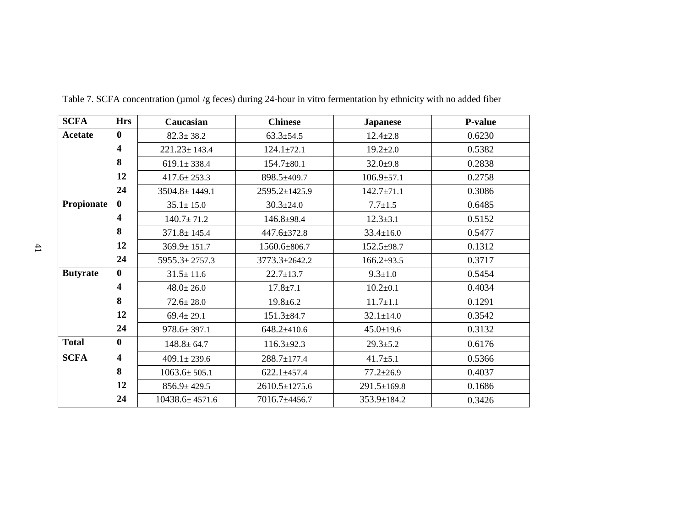| <b>SCFA</b>     | <b>Hrs</b>              | Caucasian            | <b>Chinese</b>      | <b>Japanese</b>  | <b>P-value</b> |
|-----------------|-------------------------|----------------------|---------------------|------------------|----------------|
| Acetate         | $\mathbf{0}$            | $82.3 \pm 38.2$      | $63.3 \pm 54.5$     | $12.4 \pm 2.8$   | 0.6230         |
|                 | 4                       | $221.23 \pm 143.4$   | $124.1 \pm 72.1$    | $19.2 \pm 2.0$   | 0.5382         |
|                 | 8                       | $619.1 \pm 338.4$    | $154.7 \pm 80.1$    | $32.0+9.8$       | 0.2838         |
|                 | 12                      | $417.6 \pm 253.3$    | 898.5±409.7         | $106.9 \pm 57.1$ | 0.2758         |
|                 | 24                      | $3504.8 \pm 1449.1$  | 2595.2±1425.9       | $142.7 \pm 71.1$ | 0.3086         |
| Propionate      | $\mathbf{0}$            | $35.1 \pm 15.0$      | $30.3 \pm 24.0$     | $7.7 \pm 1.5$    | 0.6485         |
|                 | 4                       | $140.7 \pm 71.2$     | $146.8 + 98.4$      | $12.3 \pm 3.1$   | 0.5152         |
|                 | 8                       | $371.8 \pm 145.4$    | 447.6±372.8         | $33.4 \pm 16.0$  | 0.5477         |
|                 | 12                      | $369.9 \pm 151.7$    | 1560.6±806.7        | $152.5 + 98.7$   | 0.1312         |
|                 | 24                      | $5955.3 \pm 2757.3$  | 3773.3±2642.2       | $166.2+93.5$     | 0.3717         |
| <b>Butyrate</b> | $\bf{0}$                | $31.5 \pm 11.6$      | $22.7 \pm 13.7$     | $9.3 \pm 1.0$    | 0.5454         |
|                 | 4                       | $48.0 \pm 26.0$      | $17.8 \pm 7.1$      | $10.2 \pm 0.1$   | 0.4034         |
|                 | 8                       | $72.6 \pm 28.0$      | $19.8 \pm 6.2$      | $11.7 \pm 1.1$   | 0.1291         |
|                 | 12                      | $69.4 \pm 29.1$      | $151.3 \pm 84.7$    | $32.1 \pm 14.0$  | 0.3542         |
|                 | 24                      | $978.6 \pm 397.1$    | $648.2 \pm 410.6$   | $45.0 \pm 19.6$  | 0.3132         |
| <b>Total</b>    | $\bf{0}$                | $148.8 \pm 64.7$     | $116.3 \pm 92.3$    | $29.3 \pm 5.2$   | 0.6176         |
| <b>SCFA</b>     | $\overline{\mathbf{4}}$ | $409.1 \pm 239.6$    | 288.7±177.4         | $41.7 \pm 5.1$   | 0.5366         |
|                 | 8                       | $1063.6 \pm 505.1$   | $622.1 \pm 457.4$   | $77.2 \pm 26.9$  | 0.4037         |
|                 | 12                      | $856.9 \pm 429.5$    | $2610.5 \pm 1275.6$ | 291.5±169.8      | 0.1686         |
|                 | 24                      | $10438.6 \pm 4571.6$ | 7016.7±4456.7       | 353.9±184.2      | 0.3426         |

Table 7. SCFA concentration (µmol /g feces) during 24-hour in vitro fermentation by ethnicity with no added fiber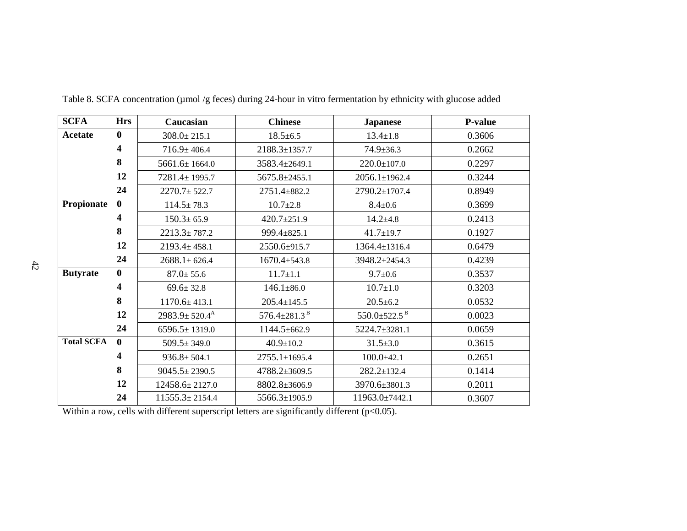| <b>SCFA</b>       | <b>Hrs</b>   | Caucasian                     | <b>Chinese</b>                 | <b>Japanese</b>                 | <b>P-value</b> |
|-------------------|--------------|-------------------------------|--------------------------------|---------------------------------|----------------|
| <b>Acetate</b>    | $\bf{0}$     | $308.0 \pm 215.1$             | $18.5 \pm 6.5$                 | $13.4 \pm 1.8$                  | 0.3606         |
|                   | 4            | $716.9 \pm 406.4$             | 2188.3±1357.7                  | $74.9 \pm 36.3$                 | 0.2662         |
|                   | 8            | $5661.6 \pm 1664.0$           | 3583.4±2649.1                  | $220.0 \pm 107.0$               | 0.2297         |
|                   | 12           | 7281.4±1995.7                 | 5675.8±2455.1                  | $2056.1 \pm 1962.4$             | 0.3244         |
|                   | 24           | $2270.7 \pm 522.7$            | 2751.4±882.2                   | 2790.2±1707.4                   | 0.8949         |
| Propionate        | $\mathbf{0}$ | $114.5 \pm 78.3$              | $10.7 \pm 2.8$                 | $8.4 \pm 0.6$                   | 0.3699         |
|                   | 4            | $150.3 \pm 65.9$              | $420.7 \pm 251.9$              | $14.2 \pm 4.8$                  | 0.2413         |
|                   | 8            | $2213.3 \pm 787.2$            | 999.4±825.1                    | $41.7 \pm 19.7$                 | 0.1927         |
|                   | 12           | $2193.4 \pm 458.1$            | 2550.6±915.7                   | 1364.4±1316.4                   | 0.6479         |
|                   | 24           | $2688.1 \pm 626.4$            | $1670.4 \pm 543.8$             | 3948.2±2454.3                   | 0.4239         |
| <b>Butyrate</b>   | $\bf{0}$     | $87.0 \pm 55.6$               | $11.7 \pm 1.1$                 | $9.7 \pm 0.6$                   | 0.3537         |
|                   | 4            | $69.6 \pm 32.8$               | $146.1 \pm 86.0$               | $10.7 \pm 1.0$                  | 0.3203         |
|                   | 8            | $1170.6 \pm 413.1$            | $205.4 \pm 145.5$              | $20.5 \pm 6.2$                  | 0.0532         |
|                   | 12           | $2983.9 \pm 520.4^{\text{A}}$ | 576.4 $\pm$ 281.3 <sup>B</sup> | 550.0 $\pm$ 522.5 $^{\text{B}}$ | 0.0023         |
|                   | 24           | $6596.5 \pm 1319.0$           | 1144.5±662.9                   | 5224.7±3281.1                   | 0.0659         |
| <b>Total SCFA</b> | $\mathbf{0}$ | $509.5 \pm 349.0$             | $40.9 \pm 10.2$                | $31.5 \pm 3.0$                  | 0.3615         |
|                   | 4            | $936.8 \pm 504.1$             | $2755.1 \pm 1695.4$            | $100.0 + 42.1$                  | 0.2651         |
|                   | 8            | $9045.5 \pm 2390.5$           | 4788.2±3609.5                  | $282.2 \pm 132.4$               | 0.1414         |
|                   | 12           | 12458.6±2127.0                | 8802.8±3606.9                  | 3970.6±3801.3                   | 0.2011         |
|                   | 24           | $11555.3 \pm 2154.4$          | 5566.3±1905.9                  | 11963.0±7442.1                  | 0.3607         |

Table 8. SCFA concentration (µmol /g feces) during 24-hour in vitro fermentation by ethnicity with glucose added

Within a row, cells with different superscript letters are significantly different (p<0.05).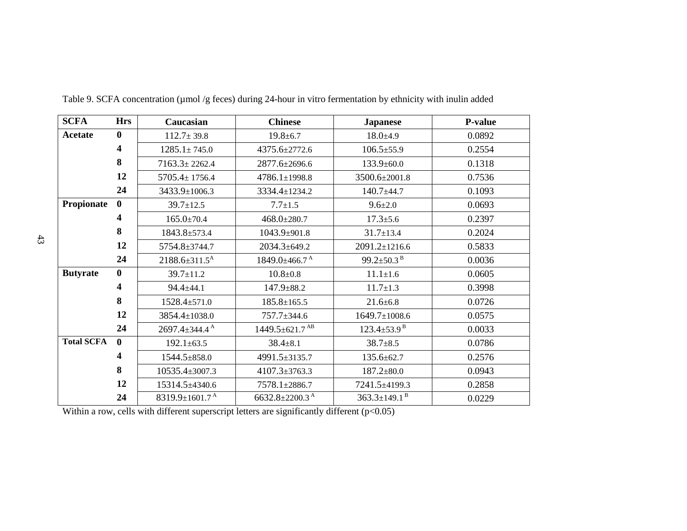| <b>SCFA</b>       | <b>Hrs</b>              | Caucasian                        | <b>Chinese</b>                   | <b>Japanese</b>                | <b>P-value</b> |
|-------------------|-------------------------|----------------------------------|----------------------------------|--------------------------------|----------------|
| <b>Acetate</b>    | $\bf{0}$                | $112.7 \pm 39.8$                 | $19.8 \pm 6.7$                   | $18.0 \pm 4.9$                 | 0.0892         |
|                   | $\overline{\mathbf{4}}$ | $1285.1 \pm 745.0$               | 4375.6±2772.6                    | $106.5 \pm 55.9$               | 0.2554         |
|                   | 8                       | $7163.3 \pm 2262.4$              | 2877.6±2696.6                    | $133.9 \pm 60.0$               | 0.1318         |
|                   | 12                      | $5705.4 \pm 1756.4$              | $4786.1 \pm 1998.8$              | 3500.6±2001.8                  | 0.7536         |
|                   | 24                      | 3433.9±1006.3                    | 3334.4±1234.2                    | 140.7±44.7                     | 0.1093         |
| Propionate        | $\mathbf{0}$            | $39.7 \pm 12.5$                  | $7.7 \pm 1.5$                    | $9.6 \pm 2.0$                  | 0.0693         |
|                   | 4                       | $165.0 \pm 70.4$                 | $468.0 \pm 280.7$                | $17.3 \pm 5.6$                 | 0.2397         |
|                   | 8                       | $1843.8 \pm 573.4$               | 1043.9±901.8                     | $31.7 \pm 13.4$                | 0.2024         |
|                   | 12                      | 5754.8±3744.7                    | 2034.3±649.2                     | 2091.2±1216.6                  | 0.5833         |
|                   | 24                      | $2188.6 \pm 311.5^{\text{A}}$    | $1849.0 \pm 466.7$ <sup>A</sup>  | 99.2 $\pm$ 50.3 <sup>B</sup>   | 0.0036         |
| <b>Butyrate</b>   | $\mathbf{0}$            | $39.7 \pm 11.2$                  | $10.8 + 0.8$                     | $11.1 \pm 1.6$                 | 0.0605         |
|                   | 4                       | $94.4 \pm 44.1$                  | $147.9 \pm 88.2$                 | $11.7 \pm 1.3$                 | 0.3998         |
|                   | 8                       | 1528.4±571.0                     | $185.8 \pm 165.5$                | $21.6 \pm 6.8$                 | 0.0726         |
|                   | 12                      | 3854.4±1038.0                    | 757.7±344.6                      | $1649.7 \pm 1008.6$            | 0.0575         |
|                   | 24                      | $2697.4 \pm 344.4^{\text{A}}$    | $1449.5 \pm 621.7$ <sup>AB</sup> | $123.4 \pm 53.9$ <sup>B</sup>  | 0.0033         |
| <b>Total SCFA</b> | $\mathbf{0}$            | $192.1 \pm 63.5$                 | $38.4 \pm 8.1$                   | $38.7 + 8.5$                   | 0.0786         |
|                   | 4                       | 1544.5±858.0                     | 4991.5±3135.7                    | $135.6 \pm 62.7$               | 0.2576         |
|                   | 8                       | 10535.4±3007.3                   | $4107.3 \pm 3763.3$              | $187.2 \pm 80.0$               | 0.0943         |
|                   | 12                      | 15314.5±4340.6                   | 7578.1±2886.7                    | 7241.5±4199.3                  | 0.2858         |
|                   | 24                      | 8319.9 $\pm$ 1601.7 <sup>A</sup> | 6632.8 $\pm$ 2200.3 <sup>A</sup> | $363.3 \pm 149.1$ <sup>B</sup> | 0.0229         |

Table 9. SCFA concentration (µmol /g feces) during 24-hour in vitro fermentation by ethnicity with inulin added

Within a row, cells with different superscript letters are significantly different  $(p<0.05)$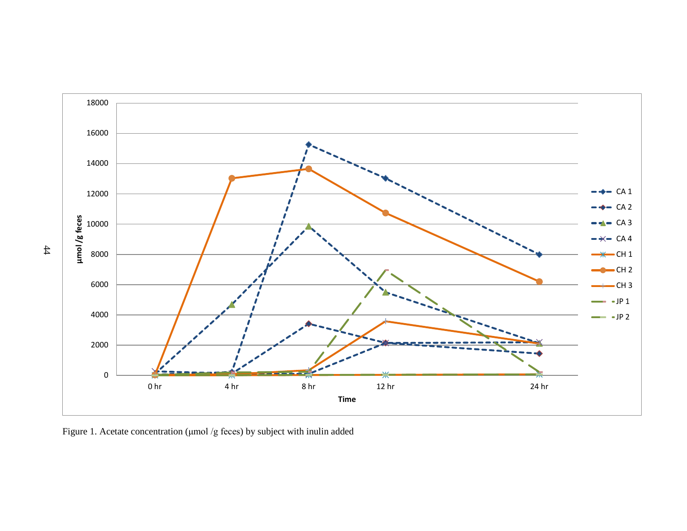

Figure 1. Acetate concentration (μmol /g feces) by subject with inulin added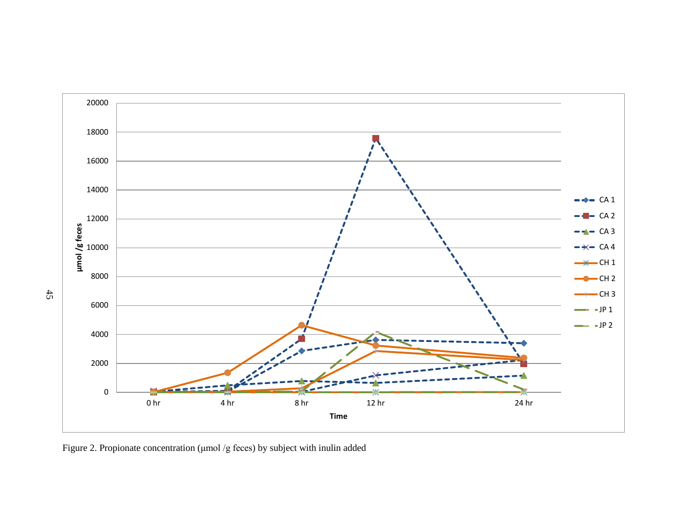

Figure 2. Propionate concentration (μmol /g feces) by subject with inulin added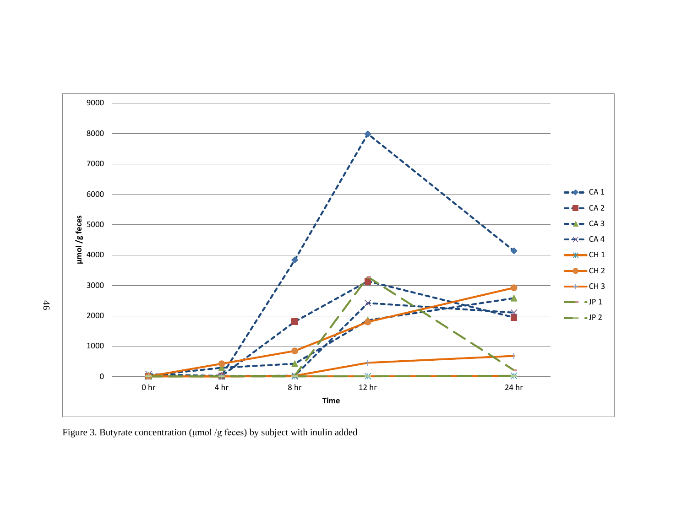

Figure 3. Butyrate concentration (μmol /g feces) by subject with inulin added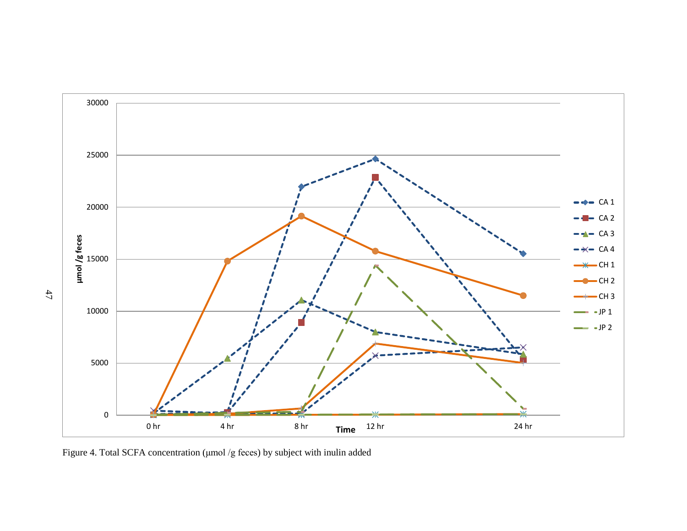

Figure 4. Total SCFA concentration (μmol /g feces) by subject with inulin added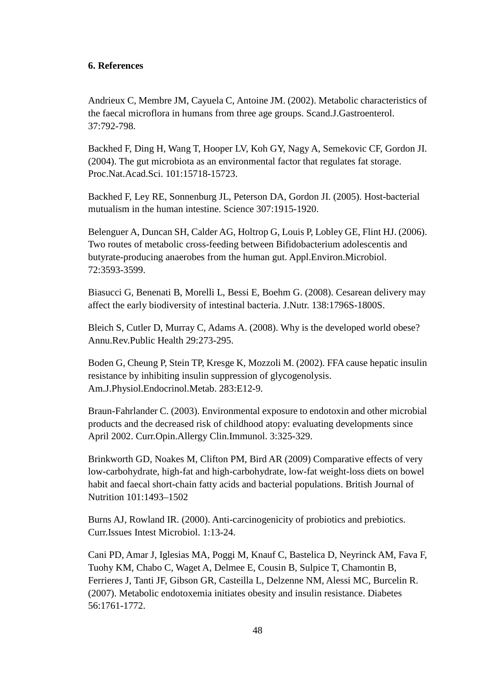## **6. References**

Andrieux C, Membre JM, Cayuela C, Antoine JM. (2002). Metabolic characteristics of the faecal microflora in humans from three age groups. Scand.J.Gastroenterol. 37:792-798.

Backhed F, Ding H, Wang T, Hooper LV, Koh GY, Nagy A, Semekovic CF, Gordon JI. (2004). The gut microbiota as an environmental factor that regulates fat storage. Proc.Nat.Acad.Sci. 101:15718-15723.

Backhed F, Ley RE, Sonnenburg JL, Peterson DA, Gordon JI. (2005). Host-bacterial mutualism in the human intestine. Science 307:1915-1920.

Belenguer A, Duncan SH, Calder AG, Holtrop G, Louis P, Lobley GE, Flint HJ. (2006). Two routes of metabolic cross-feeding between Bifidobacterium adolescentis and butyrate-producing anaerobes from the human gut. Appl.Environ.Microbiol. 72:3593-3599.

Biasucci G, Benenati B, Morelli L, Bessi E, Boehm G. (2008). Cesarean delivery may affect the early biodiversity of intestinal bacteria. J.Nutr. 138:1796S-1800S.

Bleich S, Cutler D, Murray C, Adams A. (2008). Why is the developed world obese? Annu.Rev.Public Health 29:273-295.

Boden G, Cheung P, Stein TP, Kresge K, Mozzoli M. (2002). FFA cause hepatic insulin resistance by inhibiting insulin suppression of glycogenolysis. Am.J.Physiol.Endocrinol.Metab. 283:E12-9.

Braun-Fahrlander C. (2003). Environmental exposure to endotoxin and other microbial products and the decreased risk of childhood atopy: evaluating developments since April 2002. Curr.Opin.Allergy Clin.Immunol. 3:325-329.

Brinkworth GD, Noakes M, Clifton PM, Bird AR (2009) Comparative effects of very low-carbohydrate, high-fat and high-carbohydrate, low-fat weight-loss diets on bowel habit and faecal short-chain fatty acids and bacterial populations. British Journal of Nutrition 101:1493–1502

Burns AJ, Rowland IR. (2000). Anti-carcinogenicity of probiotics and prebiotics. Curr.Issues Intest Microbiol. 1:13-24.

Cani PD, Amar J, Iglesias MA, Poggi M, Knauf C, Bastelica D, Neyrinck AM, Fava F, Tuohy KM, Chabo C, Waget A, Delmee E, Cousin B, Sulpice T, Chamontin B, Ferrieres J, Tanti JF, Gibson GR, Casteilla L, Delzenne NM, Alessi MC, Burcelin R. (2007). Metabolic endotoxemia initiates obesity and insulin resistance. Diabetes 56:1761-1772.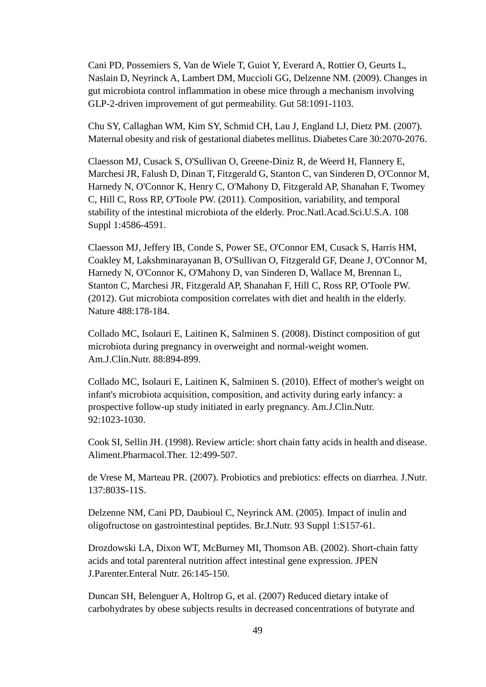Cani PD, Possemiers S, Van de Wiele T, Guiot Y, Everard A, Rottier O, Geurts L, Naslain D, Neyrinck A, Lambert DM, Muccioli GG, Delzenne NM. (2009). Changes in gut microbiota control inflammation in obese mice through a mechanism involving GLP-2-driven improvement of gut permeability. Gut 58:1091-1103.

Chu SY, Callaghan WM, Kim SY, Schmid CH, Lau J, England LJ, Dietz PM. (2007). Maternal obesity and risk of gestational diabetes mellitus. Diabetes Care 30:2070-2076.

Claesson MJ, Cusack S, O'Sullivan O, Greene-Diniz R, de Weerd H, Flannery E, Marchesi JR, Falush D, Dinan T, Fitzgerald G, Stanton C, van Sinderen D, O'Connor M, Harnedy N, O'Connor K, Henry C, O'Mahony D, Fitzgerald AP, Shanahan F, Twomey C, Hill C, Ross RP, O'Toole PW. (2011). Composition, variability, and temporal stability of the intestinal microbiota of the elderly. Proc.Natl.Acad.Sci.U.S.A. 108 Suppl 1:4586-4591.

Claesson MJ, Jeffery IB, Conde S, Power SE, O'Connor EM, Cusack S, Harris HM, Coakley M, Lakshminarayanan B, O'Sullivan O, Fitzgerald GF, Deane J, O'Connor M, Harnedy N, O'Connor K, O'Mahony D, van Sinderen D, Wallace M, Brennan L, Stanton C, Marchesi JR, Fitzgerald AP, Shanahan F, Hill C, Ross RP, O'Toole PW. (2012). Gut microbiota composition correlates with diet and health in the elderly. Nature 488:178-184.

Collado MC, Isolauri E, Laitinen K, Salminen S. (2008). Distinct composition of gut microbiota during pregnancy in overweight and normal-weight women. Am.J.Clin.Nutr. 88:894-899.

Collado MC, Isolauri E, Laitinen K, Salminen S. (2010). Effect of mother's weight on infant's microbiota acquisition, composition, and activity during early infancy: a prospective follow-up study initiated in early pregnancy. Am.J.Clin.Nutr. 92:1023-1030.

Cook SI, Sellin JH. (1998). Review article: short chain fatty acids in health and disease. Aliment.Pharmacol.Ther. 12:499-507.

de Vrese M, Marteau PR. (2007). Probiotics and prebiotics: effects on diarrhea. J.Nutr. 137:803S-11S.

Delzenne NM, Cani PD, Daubioul C, Neyrinck AM. (2005). Impact of inulin and oligofructose on gastrointestinal peptides. Br.J.Nutr. 93 Suppl 1:S157-61.

Drozdowski LA, Dixon WT, McBurney MI, Thomson AB. (2002). Short-chain fatty acids and total parenteral nutrition affect intestinal gene expression. JPEN J.Parenter.Enteral Nutr. 26:145-150.

Duncan SH, Belenguer A, Holtrop G, et al. (2007) Reduced dietary intake of carbohydrates by obese subjects results in decreased concentrations of butyrate and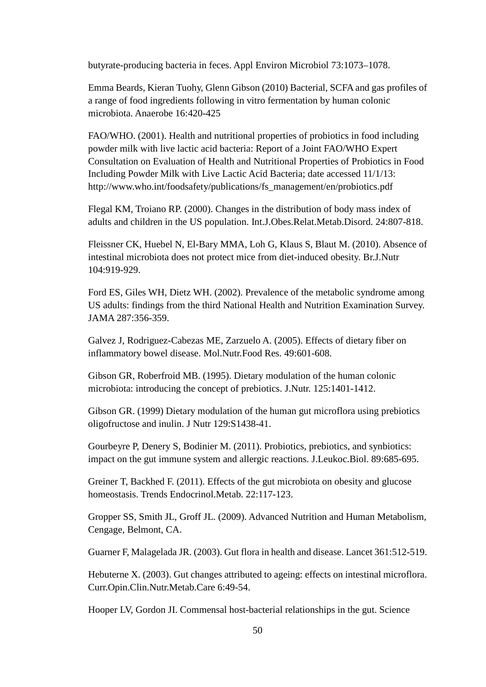butyrate-producing bacteria in feces. Appl Environ Microbiol 73:1073–1078.

Emma Beards, Kieran Tuohy, Glenn Gibson (2010) Bacterial, SCFA and gas profiles of a range of food ingredients following in vitro fermentation by human colonic microbiota. Anaerobe 16:420-425

FAO/WHO. (2001). Health and nutritional properties of probiotics in food including powder milk with live lactic acid bacteria: Report of a Joint FAO/WHO Expert Consultation on Evaluation of Health and Nutritional Properties of Probiotics in Food Including Powder Milk with Live Lactic Acid Bacteria; date accessed 11/1/13: http://www.who.int/foodsafety/publications/fs\_management/en/probiotics.pdf

Flegal KM, Troiano RP. (2000). Changes in the distribution of body mass index of adults and children in the US population. Int.J.Obes.Relat.Metab.Disord. 24:807-818.

Fleissner CK, Huebel N, El-Bary MMA, Loh G, Klaus S, Blaut M. (2010). Absence of intestinal microbiota does not protect mice from diet-induced obesity. Br.J.Nutr 104:919-929.

Ford ES, Giles WH, Dietz WH. (2002). Prevalence of the metabolic syndrome among US adults: findings from the third National Health and Nutrition Examination Survey. JAMA 287:356-359.

Galvez J, Rodriguez-Cabezas ME, Zarzuelo A. (2005). Effects of dietary fiber on inflammatory bowel disease. Mol.Nutr.Food Res. 49:601-608.

Gibson GR, Roberfroid MB. (1995). Dietary modulation of the human colonic microbiota: introducing the concept of prebiotics. J.Nutr. 125:1401-1412.

Gibson GR. (1999) Dietary modulation of the human gut microflora using prebiotics oligofructose and inulin. J Nutr 129:S1438-41.

Gourbeyre P, Denery S, Bodinier M. (2011). Probiotics, prebiotics, and synbiotics: impact on the gut immune system and allergic reactions. J.Leukoc.Biol. 89:685-695.

Greiner T, Backhed F. (2011). Effects of the gut microbiota on obesity and glucose homeostasis. Trends Endocrinol.Metab. 22:117-123.

Gropper SS, Smith JL, Groff JL. (2009). Advanced Nutrition and Human Metabolism, Cengage, Belmont, CA.

Guarner F, Malagelada JR. (2003). Gut flora in health and disease. Lancet 361:512-519.

Hebuterne X. (2003). Gut changes attributed to ageing: effects on intestinal microflora. Curr.Opin.Clin.Nutr.Metab.Care 6:49-54.

Hooper LV, Gordon JI. Commensal host-bacterial relationships in the gut. Science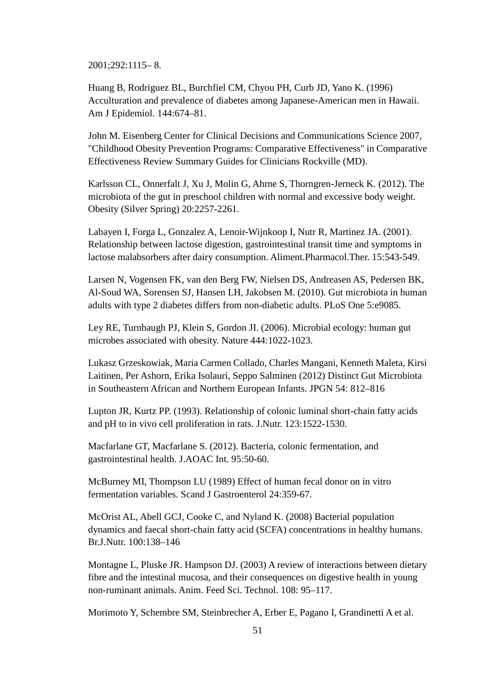2001;292:1115– 8.

Huang B, Rodriguez BL, Burchfiel CM, Chyou PH, Curb JD, Yano K. (1996) Acculturation and prevalence of diabetes among Japanese-American men in Hawaii. Am J Epidemiol. 144:674–81.

John M. Eisenberg Center for Clinical Decisions and Communications Science 2007, "Childhood Obesity Prevention Programs: Comparative Effectiveness" in Comparative Effectiveness Review Summary Guides for Clinicians Rockville (MD).

Karlsson CL, Onnerfalt J, Xu J, Molin G, Ahrne S, Thorngren-Jerneck K. (2012). The microbiota of the gut in preschool children with normal and excessive body weight. Obesity (Silver Spring) 20:2257-2261.

Labayen I, Forga L, Gonzalez A, Lenoir-Wijnkoop I, Nutr R, Martinez JA. (2001). Relationship between lactose digestion, gastrointestinal transit time and symptoms in lactose malabsorbers after dairy consumption. Aliment.Pharmacol.Ther. 15:543-549.

Larsen N, Vogensen FK, van den Berg FW, Nielsen DS, Andreasen AS, Pedersen BK, Al-Soud WA, Sorensen SJ, Hansen LH, Jakobsen M. (2010). Gut microbiota in human adults with type 2 diabetes differs from non-diabetic adults. PLoS One 5:e9085.

Ley RE, Turnbaugh PJ, Klein S, Gordon JI. (2006). Microbial ecology: human gut microbes associated with obesity. Nature 444:1022-1023.

Lukasz Grzeskowiak, Maria Carmen Collado, Charles Mangani, Kenneth Maleta, Kirsi Laitinen, Per Ashorn, Erika Isolauri, Seppo Salminen (2012) Distinct Gut Microbiota in Southeastern African and Northern European Infants. JPGN 54: 812–816

Lupton JR, Kurtz PP. (1993). Relationship of colonic luminal short-chain fatty acids and pH to in vivo cell proliferation in rats. J.Nutr. 123:1522-1530.

Macfarlane GT, Macfarlane S. (2012). Bacteria, colonic fermentation, and gastrointestinal health. J.AOAC Int. 95:50-60.

McBurney MI, Thompson LU (1989) Effect of human fecal donor on in vitro fermentation variables. Scand J Gastroenterol 24:359-67.

McOrist AL, Abell GCJ, Cooke C, and Nyland K. (2008) Bacterial population dynamics and faecal short-chain fatty acid (SCFA) concentrations in healthy humans. Br.J.Nutr. 100:138–146

Montagne L, Pluske JR. Hampson DJ. (2003) A review of interactions between dietary fibre and the intestinal mucosa, and their consequences on digestive health in young non-ruminant animals. Anim. Feed Sci. Technol. 108: 95–117.

Morimoto Y, Schembre SM, Steinbrecher A, Erber E, Pagano I, Grandinetti A et al.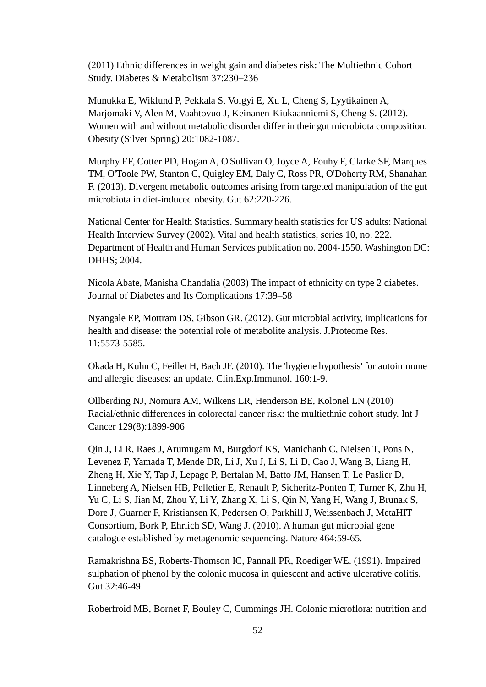(2011) Ethnic differences in weight gain and diabetes risk: The Multiethnic Cohort Study. Diabetes & Metabolism 37:230–236

Munukka E, Wiklund P, Pekkala S, Volgyi E, Xu L, Cheng S, Lyytikainen A, Marjomaki V, Alen M, Vaahtovuo J, Keinanen-Kiukaanniemi S, Cheng S. (2012). Women with and without metabolic disorder differ in their gut microbiota composition. Obesity (Silver Spring) 20:1082-1087.

Murphy EF, Cotter PD, Hogan A, O'Sullivan O, Joyce A, Fouhy F, Clarke SF, Marques TM, O'Toole PW, Stanton C, Quigley EM, Daly C, Ross PR, O'Doherty RM, Shanahan F. (2013). Divergent metabolic outcomes arising from targeted manipulation of the gut microbiota in diet-induced obesity. Gut 62:220-226.

National Center for Health Statistics. Summary health statistics for US adults: National Health Interview Survey (2002). Vital and health statistics, series 10, no. 222. Department of Health and Human Services publication no. 2004-1550. Washington DC: DHHS; 2004.

Nicola Abate, Manisha Chandalia (2003) The impact of ethnicity on type 2 diabetes. Journal of Diabetes and Its Complications 17:39–58

Nyangale EP, Mottram DS, Gibson GR. (2012). Gut microbial activity, implications for health and disease: the potential role of metabolite analysis. J.Proteome Res. 11:5573-5585.

Okada H, Kuhn C, Feillet H, Bach JF. (2010). The 'hygiene hypothesis' for autoimmune and allergic diseases: an update. Clin.Exp.Immunol. 160:1-9.

Ollberding NJ, Nomura AM, Wilkens LR, Henderson BE, Kolonel LN (2010) Racial/ethnic differences in colorectal cancer risk: the multiethnic cohort study. Int J Cancer 129(8):1899-906

Qin J, Li R, Raes J, Arumugam M, Burgdorf KS, Manichanh C, Nielsen T, Pons N, Levenez F, Yamada T, Mende DR, Li J, Xu J, Li S, Li D, Cao J, Wang B, Liang H, Zheng H, Xie Y, Tap J, Lepage P, Bertalan M, Batto JM, Hansen T, Le Paslier D, Linneberg A, Nielsen HB, Pelletier E, Renault P, Sicheritz-Ponten T, Turner K, Zhu H, Yu C, Li S, Jian M, Zhou Y, Li Y, Zhang X, Li S, Qin N, Yang H, Wang J, Brunak S, Dore J, Guarner F, Kristiansen K, Pedersen O, Parkhill J, Weissenbach J, MetaHIT Consortium, Bork P, Ehrlich SD, Wang J. (2010). A human gut microbial gene catalogue established by metagenomic sequencing. Nature 464:59-65.

Ramakrishna BS, Roberts-Thomson IC, Pannall PR, Roediger WE. (1991). Impaired sulphation of phenol by the colonic mucosa in quiescent and active ulcerative colitis. Gut 32:46-49.

Roberfroid MB, Bornet F, Bouley C, Cummings JH. Colonic microflora: nutrition and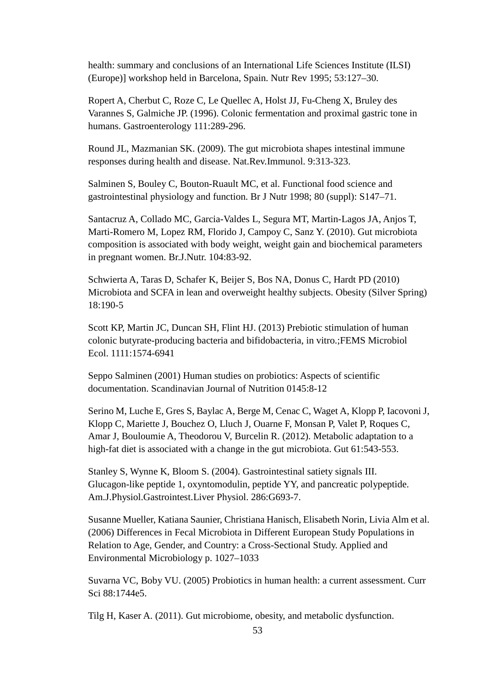health: summary and conclusions of an International Life Sciences Institute (ILSI) (Europe)] workshop held in Barcelona, Spain. Nutr Rev 1995; 53:127–30.

Ropert A, Cherbut C, Roze C, Le Quellec A, Holst JJ, Fu-Cheng X, Bruley des Varannes S, Galmiche JP. (1996). Colonic fermentation and proximal gastric tone in humans. Gastroenterology 111:289-296.

Round JL, Mazmanian SK. (2009). The gut microbiota shapes intestinal immune responses during health and disease. Nat.Rev.Immunol. 9:313-323.

Salminen S, Bouley C, Bouton-Ruault MC, et al. Functional food science and gastrointestinal physiology and function. Br J Nutr 1998; 80 (suppl): S147–71.

Santacruz A, Collado MC, Garcia-Valdes L, Segura MT, Martin-Lagos JA, Anjos T, Marti-Romero M, Lopez RM, Florido J, Campoy C, Sanz Y. (2010). Gut microbiota composition is associated with body weight, weight gain and biochemical parameters in pregnant women. Br.J.Nutr. 104:83-92.

Schwierta A, Taras D, Schafer K, Beijer S, Bos NA, Donus C, Hardt PD (2010) Microbiota and SCFA in lean and overweight healthy subjects. Obesity (Silver Spring) 18:190-5

[Scott KP,](http://www.ncbi.nlm.nih.gov.eres.library.manoa.hawaii.edu/pubmed?term=Scott%20KP%5BAuthor%5D&cauthor=true&cauthor_uid=23909466) [Martin JC,](http://www.ncbi.nlm.nih.gov.eres.library.manoa.hawaii.edu/pubmed?term=Martin%20JC%5BAuthor%5D&cauthor=true&cauthor_uid=23909466) [Duncan SH,](http://www.ncbi.nlm.nih.gov.eres.library.manoa.hawaii.edu/pubmed?term=Duncan%20SH%5BAuthor%5D&cauthor=true&cauthor_uid=23909466) [Flint HJ.](http://www.ncbi.nlm.nih.gov.eres.library.manoa.hawaii.edu/pubmed?term=Flint%20HJ%5BAuthor%5D&cauthor=true&cauthor_uid=23909466) (2013) Prebiotic stimulation of human colonic butyrate-producing bacteria and bifidobacteria, in vitro.[;FEMS Microbiol](http://www.ncbi.nlm.nih.gov.eres.library.manoa.hawaii.edu/pubmed/23909466)  [Ecol.](http://www.ncbi.nlm.nih.gov.eres.library.manoa.hawaii.edu/pubmed/23909466) 1111:1574-6941

Seppo Salminen (2001) Human studies on probiotics: Aspects of scientific documentation. Scandinavian Journal of Nutrition 0145:8-12

Serino M, Luche E, Gres S, Baylac A, Berge M, Cenac C, Waget A, Klopp P, Iacovoni J, Klopp C, Mariette J, Bouchez O, Lluch J, Ouarne F, Monsan P, Valet P, Roques C, Amar J, Bouloumie A, Theodorou V, Burcelin R. (2012). Metabolic adaptation to a high-fat diet is associated with a change in the gut microbiota. Gut 61:543-553.

Stanley S, Wynne K, Bloom S. (2004). Gastrointestinal satiety signals III. Glucagon-like peptide 1, oxyntomodulin, peptide YY, and pancreatic polypeptide. Am.J.Physiol.Gastrointest.Liver Physiol. 286:G693-7.

Susanne Mueller, Katiana Saunier, Christiana Hanisch, Elisabeth Norin, Livia Alm et al. (2006) Differences in Fecal Microbiota in Different European Study Populations in Relation to Age, Gender, and Country: a Cross-Sectional Study. Applied and Environmental Microbiology p. 1027–1033

Suvarna VC, Boby VU. (2005) Probiotics in human health: a current assessment. Curr Sci 88:1744e5.

Tilg H, Kaser A. (2011). Gut microbiome, obesity, and metabolic dysfunction.